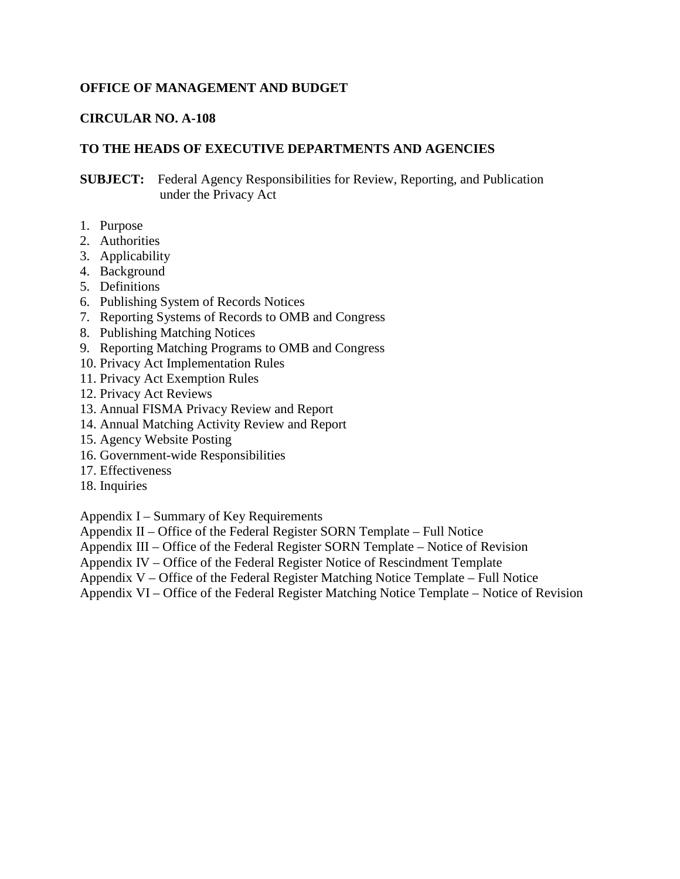#### **OFFICE OF MANAGEMENT AND BUDGET**

#### **CIRCULAR NO. A-108**

#### **TO THE HEADS OF EXECUTIVE DEPARTMENTS AND AGENCIES**

**SUBJECT:** Federal Agency Responsibilities for Review, Reporting, and Publication under the Privacy Act

- 1. Purpose
- 2. Authorities
- 3. Applicability
- 4. Background
- 5. Definitions
- 6. Publishing System of Records Notices
- 7. Reporting Systems of Records to OMB and Congress
- 8. Publishing Matching Notices
- 9. Reporting Matching Programs to OMB and Congress
- 10. Privacy Act Implementation Rules
- 11. Privacy Act Exemption Rules
- 12. Privacy Act Reviews
- 13. Annual FISMA Privacy Review and Report
- 14. Annual Matching Activity Review and Report
- 15. Agency Website Posting
- 16. Government-wide Responsibilities
- 17. Effectiveness
- 18. Inquiries

Appendix I – Summary of Key Requirements

Appendix II – Office of the Federal Register SORN Template – Full Notice

Appendix III – Office of the Federal Register SORN Template – Notice of Revision

- Appendix IV Office of the Federal Register Notice of Rescindment Template
- Appendix V Office of the Federal Register Matching Notice Template Full Notice
- Appendix VI Office of the Federal Register Matching Notice Template Notice of Revision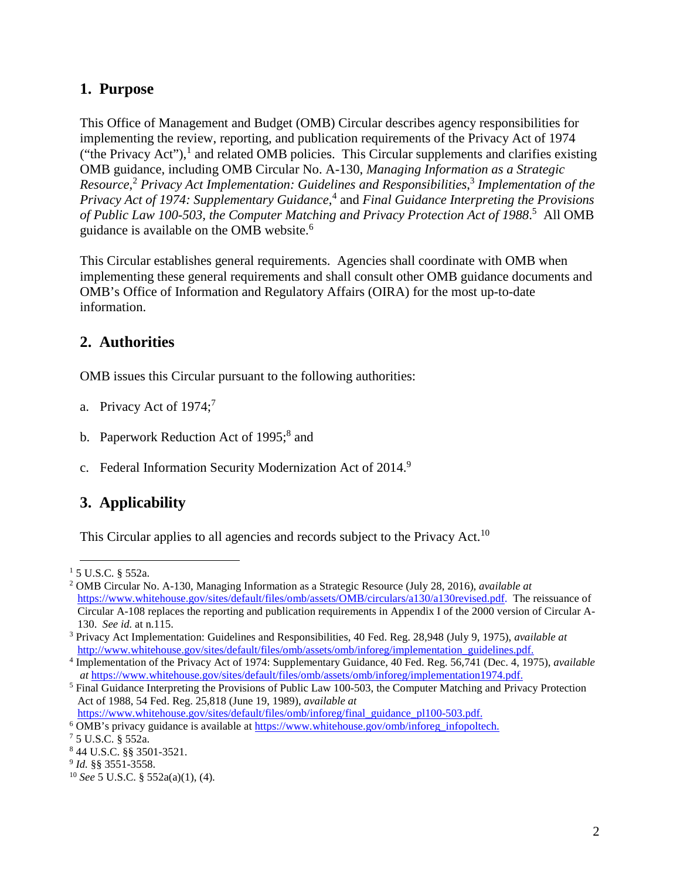### **1. Purpose**

This Office of Management and Budget (OMB) Circular describes agency responsibilities for implementing the review, reporting, and publication requirements of the Privacy Act of 1974 ("the Privacy Act"), $\frac{1}{2}$  and related OMB policies. This Circular supplements and clarifies existing OMB guidance, including OMB Circular No. A-130, *Managing Information as a Strategic Resource*, <sup>2</sup> *Privacy Act Implementation: Guidelines and Responsibilities*, <sup>3</sup> *Implementation of the Privacy Act of 1974: Supplementary Guidance*, <sup>4</sup> and *Final Guidance Interpreting the Provisions of Public Law 100-503, the Computer Matching and Privacy Protection Act of 1988*. 5 All OMB guidance is available on the OMB website.<sup>6</sup>

This Circular establishes general requirements. Agencies shall coordinate with OMB when implementing these general requirements and shall consult other OMB guidance documents and OMB's Office of Information and Regulatory Affairs (OIRA) for the most up-to-date information.

### **2. Authorities**

OMB issues this Circular pursuant to the following authorities:

- a. Privacy Act of  $1974$ ;<sup>7</sup>
- b. Paperwork Reduction Act of 1995;<sup>8</sup> and
- c. Federal Information Security Modernization Act of 2014.<sup>9</sup>

### **3. Applicability**

This Circular applies to all agencies and records subject to the Privacy Act.<sup>10</sup>

 <sup>1</sup> 5 U.S.C. § 552a.

<sup>2</sup> OMB Circular No. A-130, Managing Information as a Strategic Resource (July 28, 2016), *available at* [https://www.whitehouse.gov/sites/default/files/omb/assets/OMB/circulars/a130/a130revised.pdf.](https://www.whitehouse.gov/sites/default/files/omb/assets/OMB/circulars/a130/a130revised.pdf) The reissuance of Circular A-108 replaces the reporting and publication requirements in Appendix I of the 2000 version of Circular A-130. *See id.* at n.115.

<sup>3</sup> Privacy Act Implementation: Guidelines and Responsibilities, 40 Fed. Reg. 28,948 (July 9, 1975), *available at* [http://www.whitehouse.gov/sites/default/files/omb/assets/omb/inforeg/implementation\\_guidelines.pdf.](http://www.whitehouse.gov/sites/default/files/omb/assets/omb/inforeg/implementation_guidelines.pdf)

<sup>4</sup> Implementation of the Privacy Act of 1974: Supplementary Guidance, 40 Fed. Reg. 56,741 (Dec. 4, 1975), *available at* [https://www.whitehouse.gov/sites/default/files/omb/assets/omb/inforeg/implementation1974.pdf.](https://www.whitehouse.gov/sites/default/files/omb/assets/omb/inforeg/implementation1974.pdf) 5 Final Guidance Interpreting the Provisions of Public Law 100-503, the Computer Matching and Privacy Protection

Act of 1988, 54 Fed. Reg. 25,818 (June 19, 1989), *available at* https://www.whitehouse.gov/sites/default/files/omb/inforeg/final\_guidance\_pl100-503.pdf.

 $6$  OMB's privacy guidance is available at [https://www.whitehouse.gov/omb/inforeg\\_infopoltech.](https://www.whitehouse.gov/omb/inforeg_infopoltech)

<sup>7</sup> 5 U.S.C. § 552a.

<sup>8</sup> 44 U.S.C. §§ 3501-3521.

<sup>9</sup> *Id.* §§ 3551-3558.

<sup>10</sup> *See* 5 U.S.C. § 552a(a)(1), (4).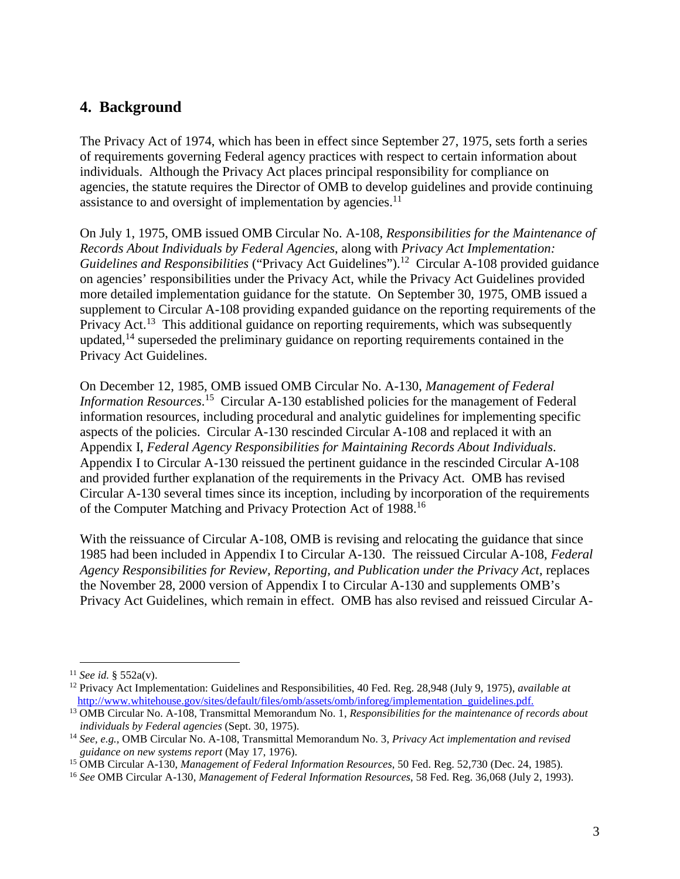### **4. Background**

The Privacy Act of 1974, which has been in effect since September 27, 1975, sets forth a series of requirements governing Federal agency practices with respect to certain information about individuals. Although the Privacy Act places principal responsibility for compliance on agencies, the statute requires the Director of OMB to develop guidelines and provide continuing assistance to and oversight of implementation by agencies.<sup>11</sup>

On July 1, 1975, OMB issued OMB Circular No. A-108, *Responsibilities for the Maintenance of Records About Individuals by Federal Agencies*, along with *Privacy Act Implementation: Guidelines and Responsibilities* ("Privacy Act Guidelines").<sup>12</sup> Circular A-108 provided guidance on agencies' responsibilities under the Privacy Act, while the Privacy Act Guidelines provided more detailed implementation guidance for the statute. On September 30, 1975, OMB issued a supplement to Circular A-108 providing expanded guidance on the reporting requirements of the Privacy Act.<sup>13</sup> This additional guidance on reporting requirements, which was subsequently updated,<sup>14</sup> superseded the preliminary guidance on reporting requirements contained in the Privacy Act Guidelines.

On December 12, 1985, OMB issued OMB Circular No. A-130, *Management of Federal Information Resources*. 15 Circular A-130 established policies for the management of Federal information resources, including procedural and analytic guidelines for implementing specific aspects of the policies. Circular A-130 rescinded Circular A-108 and replaced it with an Appendix I, *Federal Agency Responsibilities for Maintaining Records About Individuals*. Appendix I to Circular A-130 reissued the pertinent guidance in the rescinded Circular A-108 and provided further explanation of the requirements in the Privacy Act. OMB has revised Circular A-130 several times since its inception, including by incorporation of the requirements of the Computer Matching and Privacy Protection Act of 1988.<sup>16</sup>

With the reissuance of Circular A-108, OMB is revising and relocating the guidance that since 1985 had been included in Appendix I to Circular A-130. The reissued Circular A-108, *Federal Agency Responsibilities for Review, Reporting, and Publication under the Privacy Act*, replaces the November 28, 2000 version of Appendix I to Circular A-130 and supplements OMB's Privacy Act Guidelines, which remain in effect. OMB has also revised and reissued Circular A-

 <sup>11</sup> *See id.* § 552a(v).

<sup>12</sup> Privacy Act Implementation: Guidelines and Responsibilities, 40 Fed. Reg. 28,948 (July 9, 1975), *available at* [http://www.whitehouse.gov/sites/default/files/omb/assets/omb/inforeg/implementation\\_guidelines.pdf.](http://www.whitehouse.gov/sites/default/files/omb/assets/omb/inforeg/implementation_guidelines.pdf)

<sup>13</sup> OMB Circular No. A-108, Transmittal Memorandum No. 1, *Responsibilities for the maintenance of records about individuals by Federal agencies* (Sept. 30, 1975).

<sup>14</sup> *See, e.g.,* OMB Circular No. A-108, Transmittal Memorandum No. 3, *Privacy Act implementation and revised guidance on new systems report* (May 17, 1976).

<sup>15</sup> OMB Circular A-130, *Management of Federal Information Resources*, 50 Fed. Reg. 52,730 (Dec. 24, 1985).

<sup>16</sup> *See* OMB Circular A-130, *Management of Federal Information Resources*, 58 Fed. Reg. 36,068 (July 2, 1993).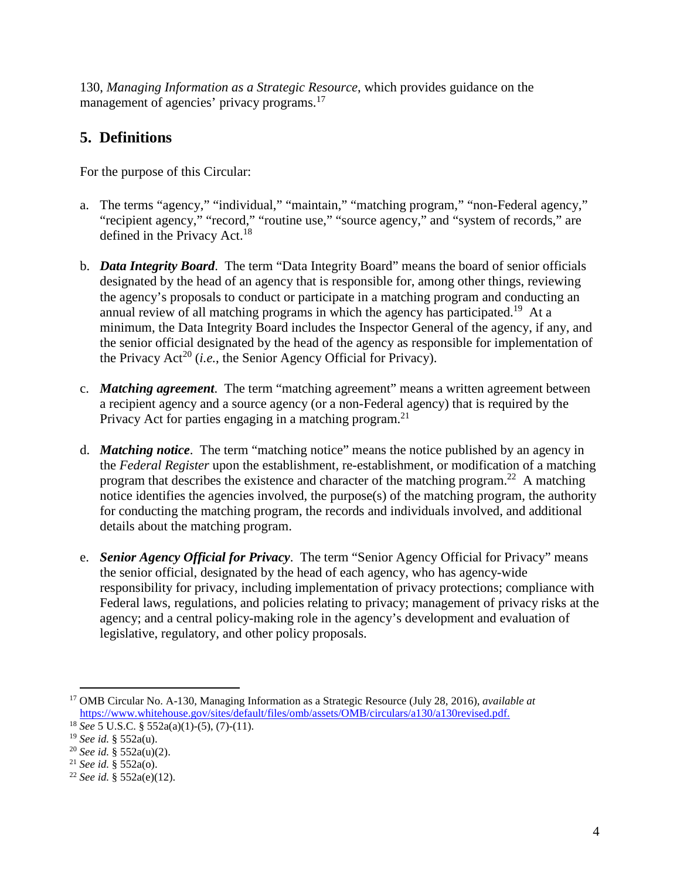130, *Managing Information as a Strategic Resource*, which provides guidance on the management of agencies' privacy programs.<sup>17</sup>

## **5. Definitions**

For the purpose of this Circular:

- a. The terms "agency," "individual," "maintain," "matching program," "non-Federal agency," "recipient agency," "record," "routine use," "source agency," and "system of records," are defined in the Privacy Act.<sup>18</sup>
- b. *Data Integrity Board*. The term "Data Integrity Board" means the board of senior officials designated by the head of an agency that is responsible for, among other things, reviewing the agency's proposals to conduct or participate in a matching program and conducting an annual review of all matching programs in which the agency has participated.<sup>19</sup> At a minimum, the Data Integrity Board includes the Inspector General of the agency, if any, and the senior official designated by the head of the agency as responsible for implementation of the Privacy Act<sup>20</sup> (*i.e.*, the Senior Agency Official for Privacy).
- c. *Matching agreement*. The term "matching agreement" means a written agreement between a recipient agency and a source agency (or a non-Federal agency) that is required by the Privacy Act for parties engaging in a matching program.<sup>21</sup>
- d. *Matching notice*. The term "matching notice" means the notice published by an agency in the *Federal Register* upon the establishment, re-establishment, or modification of a matching program that describes the existence and character of the matching program.<sup>22</sup> A matching notice identifies the agencies involved, the purpose(s) of the matching program, the authority for conducting the matching program, the records and individuals involved, and additional details about the matching program.
- e. *Senior Agency Official for Privacy*. The term "Senior Agency Official for Privacy" means the senior official, designated by the head of each agency, who has agency-wide responsibility for privacy, including implementation of privacy protections; compliance with Federal laws, regulations, and policies relating to privacy; management of privacy risks at the agency; and a central policy-making role in the agency's development and evaluation of legislative, regulatory, and other policy proposals.

 <sup>17</sup> OMB Circular No. A-130, Managing Information as a Strategic Resource (July 28, 2016), *available at* [https://www.whitehouse.gov/sites/default/files/omb/assets/OMB/circulars/a130/a130revised.pdf.](https://www.whitehouse.gov/sites/default/files/omb/assets/OMB/circulars/a130/a130revised.pdf)

<sup>18</sup> *See* 5 U.S.C. § 552a(a)(1)-(5), (7)-(11).

<sup>19</sup> *See id.* § 552a(u).

<sup>20</sup> *See id.* § 552a(u)(2).

<sup>21</sup> *See id.* § 552a(o).

<sup>22</sup> *See id.* § 552a(e)(12).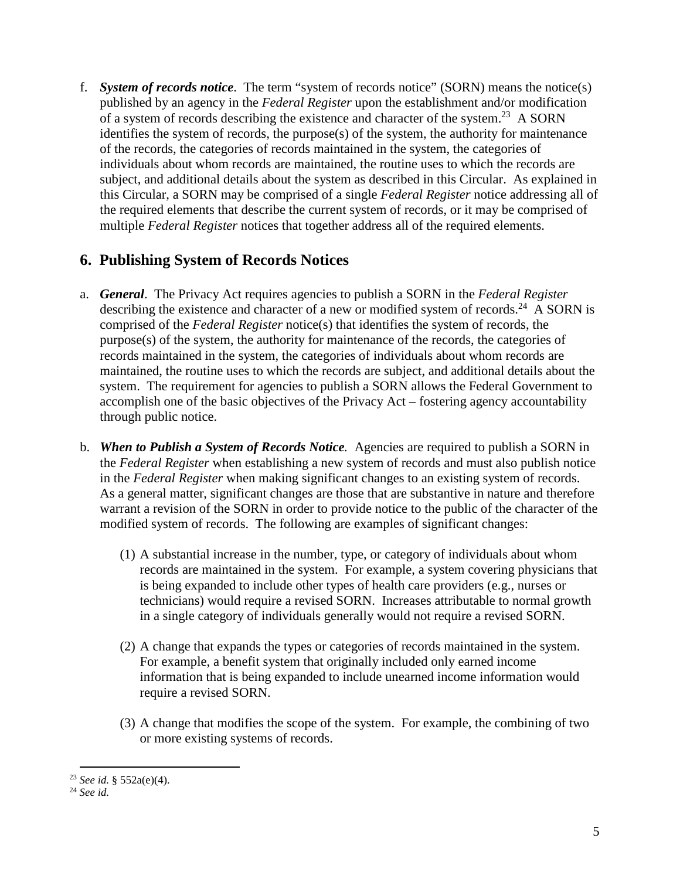f. *System of records notice*. The term "system of records notice" (SORN) means the notice(s) published by an agency in the *Federal Register* upon the establishment and/or modification of a system of records describing the existence and character of the system.<sup>23</sup> A SORN identifies the system of records, the purpose(s) of the system, the authority for maintenance of the records, the categories of records maintained in the system, the categories of individuals about whom records are maintained, the routine uses to which the records are subject, and additional details about the system as described in this Circular. As explained in this Circular, a SORN may be comprised of a single *Federal Register* notice addressing all of the required elements that describe the current system of records, or it may be comprised of multiple *Federal Register* notices that together address all of the required elements.

### **6. Publishing System of Records Notices**

- a. *General*. The Privacy Act requires agencies to publish a SORN in the *Federal Register* describing the existence and character of a new or modified system of records.<sup>24</sup> A SORN is comprised of the *Federal Register* notice(s) that identifies the system of records, the purpose(s) of the system, the authority for maintenance of the records, the categories of records maintained in the system, the categories of individuals about whom records are maintained, the routine uses to which the records are subject, and additional details about the system. The requirement for agencies to publish a SORN allows the Federal Government to accomplish one of the basic objectives of the Privacy Act – fostering agency accountability through public notice.
- b. *When to Publish a System of Records Notice.* Agencies are required to publish a SORN in the *Federal Register* when establishing a new system of records and must also publish notice in the *Federal Register* when making significant changes to an existing system of records. As a general matter, significant changes are those that are substantive in nature and therefore warrant a revision of the SORN in order to provide notice to the public of the character of the modified system of records. The following are examples of significant changes:
	- (1) A substantial increase in the number, type, or category of individuals about whom records are maintained in the system. For example, a system covering physicians that is being expanded to include other types of health care providers (e.g., nurses or technicians) would require a revised SORN. Increases attributable to normal growth in a single category of individuals generally would not require a revised SORN.
	- (2) A change that expands the types or categories of records maintained in the system. For example, a benefit system that originally included only earned income information that is being expanded to include unearned income information would require a revised SORN.
	- (3) A change that modifies the scope of the system. For example, the combining of two or more existing systems of records.

 <sup>23</sup> *See id.* § 552a(e)(4).

<sup>24</sup> *See id.*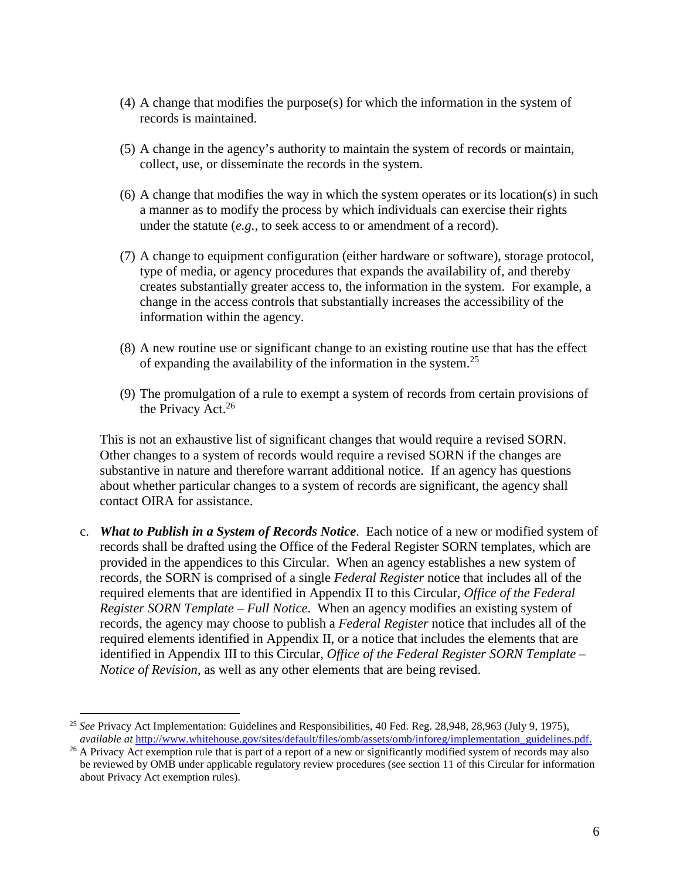- (4) A change that modifies the purpose(s) for which the information in the system of records is maintained.
- (5) A change in the agency's authority to maintain the system of records or maintain, collect, use, or disseminate the records in the system.
- (6) A change that modifies the way in which the system operates or its location(s) in such a manner as to modify the process by which individuals can exercise their rights under the statute (*e.g.*, to seek access to or amendment of a record).
- (7) A change to equipment configuration (either hardware or software), storage protocol, type of media, or agency procedures that expands the availability of, and thereby creates substantially greater access to, the information in the system. For example, a change in the access controls that substantially increases the accessibility of the information within the agency.
- (8) A new routine use or significant change to an existing routine use that has the effect of expanding the availability of the information in the system.<sup>25</sup>
- (9) The promulgation of a rule to exempt a system of records from certain provisions of the Privacy Act. $26$

This is not an exhaustive list of significant changes that would require a revised SORN. Other changes to a system of records would require a revised SORN if the changes are substantive in nature and therefore warrant additional notice. If an agency has questions about whether particular changes to a system of records are significant, the agency shall contact OIRA for assistance.

c. *What to Publish in a System of Records Notice*. Each notice of a new or modified system of records shall be drafted using the Office of the Federal Register SORN templates, which are provided in the appendices to this Circular. When an agency establishes a new system of records, the SORN is comprised of a single *Federal Register* notice that includes all of the required elements that are identified in Appendix II to this Circular, *Office of the Federal Register SORN Template – Full Notice*. When an agency modifies an existing system of records, the agency may choose to publish a *Federal Register* notice that includes all of the required elements identified in Appendix II, or a notice that includes the elements that are identified in Appendix III to this Circular, *Office of the Federal Register SORN Template – Notice of Revision*, as well as any other elements that are being revised.

 <sup>25</sup> *See* Privacy Act Implementation: Guidelines and Responsibilities, 40 Fed. Reg. 28,948, 28,963 (July 9, 1975), *available at* [http://www.whitehouse.gov/sites/default/files/omb/assets/omb/inforeg/implementation\\_guidelines.pdf.](http://www.whitehouse.gov/sites/default/files/omb/assets/omb/inforeg/implementation_guidelines.pdf)

<sup>&</sup>lt;sup>26</sup> A Privacy Act exemption rule that is part of a report of a new or significantly modified system of records may also be reviewed by OMB under applicable regulatory review procedures (see section 11 of this Circular for information about Privacy Act exemption rules).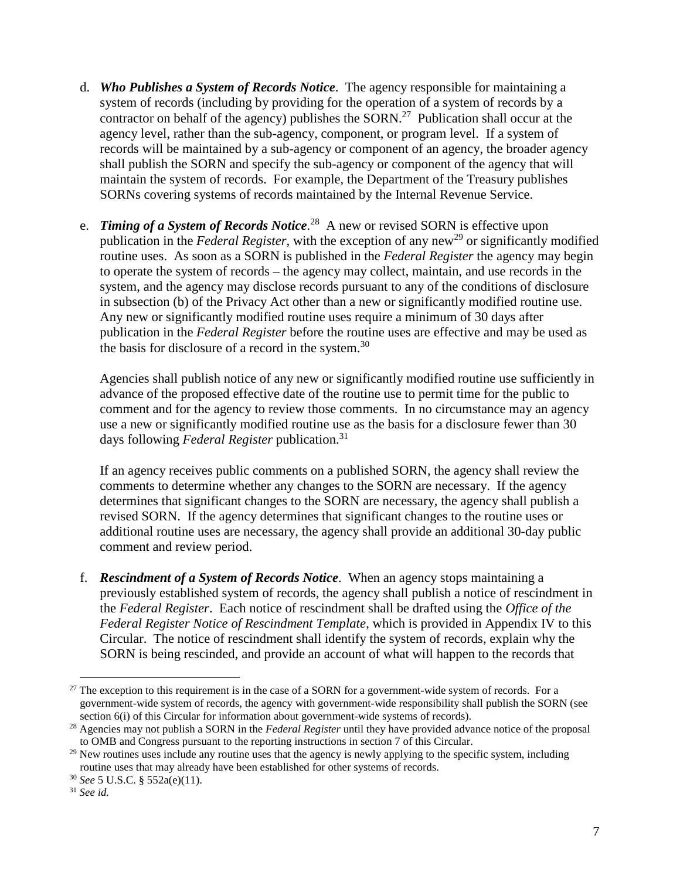- d. *Who Publishes a System of Records Notice*. The agency responsible for maintaining a system of records (including by providing for the operation of a system of records by a contractor on behalf of the agency) publishes the SORN.<sup>27</sup> Publication shall occur at the agency level, rather than the sub-agency, component, or program level. If a system of records will be maintained by a sub-agency or component of an agency, the broader agency shall publish the SORN and specify the sub-agency or component of the agency that will maintain the system of records. For example, the Department of the Treasury publishes SORNs covering systems of records maintained by the Internal Revenue Service.
- e. *Timing of a System of Records Notice*. 28 A new or revised SORN is effective upon publication in the *Federal Register*, with the exception of any new<sup>29</sup> or significantly modified routine uses. As soon as a SORN is published in the *Federal Register* the agency may begin to operate the system of records – the agency may collect, maintain, and use records in the system, and the agency may disclose records pursuant to any of the conditions of disclosure in subsection (b) of the Privacy Act other than a new or significantly modified routine use. Any new or significantly modified routine uses require a minimum of 30 days after publication in the *Federal Register* before the routine uses are effective and may be used as the basis for disclosure of a record in the system.30

Agencies shall publish notice of any new or significantly modified routine use sufficiently in advance of the proposed effective date of the routine use to permit time for the public to comment and for the agency to review those comments. In no circumstance may an agency use a new or significantly modified routine use as the basis for a disclosure fewer than 30 days following *Federal Register* publication.31

If an agency receives public comments on a published SORN, the agency shall review the comments to determine whether any changes to the SORN are necessary. If the agency determines that significant changes to the SORN are necessary, the agency shall publish a revised SORN. If the agency determines that significant changes to the routine uses or additional routine uses are necessary, the agency shall provide an additional 30-day public comment and review period.

f. *Rescindment of a System of Records Notice*. When an agency stops maintaining a previously established system of records, the agency shall publish a notice of rescindment in the *Federal Register*. Each notice of rescindment shall be drafted using the *Office of the Federal Register Notice of Rescindment Template*, which is provided in Appendix IV to this Circular. The notice of rescindment shall identify the system of records, explain why the SORN is being rescinded, and provide an account of what will happen to the records that

 $27$  The exception to this requirement is in the case of a SORN for a government-wide system of records. For a government-wide system of records, the agency with government-wide responsibility shall publish the SORN (see section 6(i) of this Circular for information about government-wide systems of records).

<sup>&</sup>lt;sup>28</sup> Agencies may not publish a SORN in the *Federal Register* until they have provided advance notice of the proposal to OMB and Congress pursuant to the reporting instructions in section 7 of this Circular.

<sup>&</sup>lt;sup>29</sup> New routines uses include any routine uses that the agency is newly applying to the specific system, including routine uses that may already have been established for other systems of records. <sup>30</sup> *See* 5 U.S.C. § 552a(e)(11). <sup>31</sup> *See id.*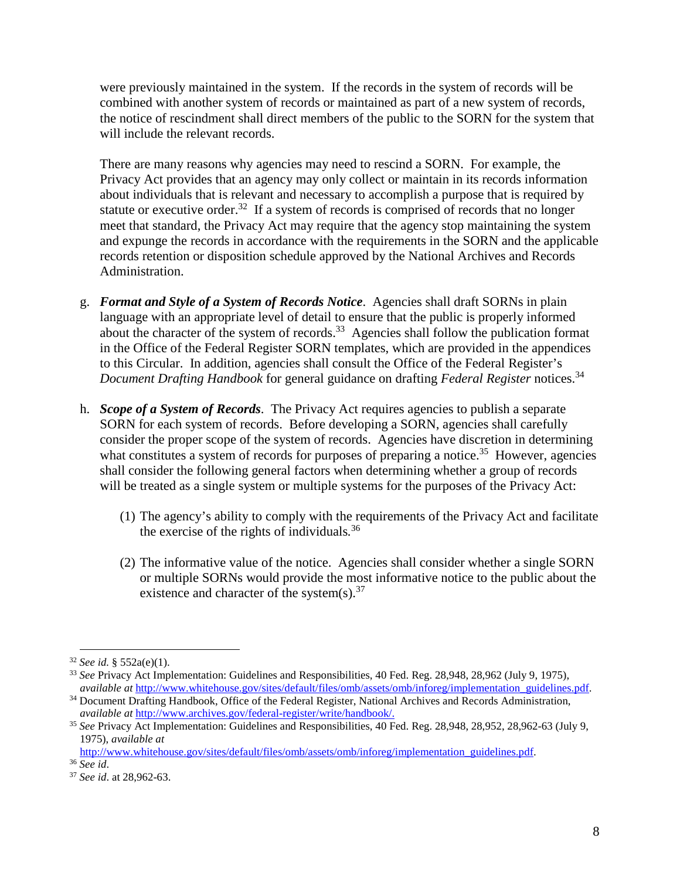were previously maintained in the system. If the records in the system of records will be combined with another system of records or maintained as part of a new system of records, the notice of rescindment shall direct members of the public to the SORN for the system that will include the relevant records.

There are many reasons why agencies may need to rescind a SORN. For example, the Privacy Act provides that an agency may only collect or maintain in its records information about individuals that is relevant and necessary to accomplish a purpose that is required by statute or executive order.<sup>32</sup> If a system of records is comprised of records that no longer meet that standard, the Privacy Act may require that the agency stop maintaining the system and expunge the records in accordance with the requirements in the SORN and the applicable records retention or disposition schedule approved by the National Archives and Records Administration.

- g. *Format and Style of a System of Records Notice*. Agencies shall draft SORNs in plain language with an appropriate level of detail to ensure that the public is properly informed about the character of the system of records.<sup>33</sup> Agencies shall follow the publication format in the Office of the Federal Register SORN templates, which are provided in the appendices to this Circular. In addition, agencies shall consult the Office of the Federal Register's *Document Drafting Handbook* for general guidance on drafting *Federal Register* notices.<sup>34</sup>
- h. *Scope of a System of Records*. The Privacy Act requires agencies to publish a separate SORN for each system of records. Before developing a SORN, agencies shall carefully consider the proper scope of the system of records. Agencies have discretion in determining what constitutes a system of records for purposes of preparing a notice.<sup>35</sup> However, agencies shall consider the following general factors when determining whether a group of records will be treated as a single system or multiple systems for the purposes of the Privacy Act:
	- (1) The agency's ability to comply with the requirements of the Privacy Act and facilitate the exercise of the rights of individuals*.* 36
	- (2) The informative value of the notice.Agencies shall consider whether a single SORN or multiple SORNs would provide the most informative notice to the public about the existence and character of the system(s).<sup>37</sup>

 $32$  *See id.* § 552a(e)(1).

<sup>&</sup>lt;sup>33</sup> *See* Privacy Act Implementation: Guidelines and Responsibilities, 40 Fed. Reg. 28,948, 28,962 (July 9, 1975), *available at http://www.whitehouse.gov/sites/default/files/omb/assets/omb/inforeg/implementation guidelin* 

 $34$  Document Drafting Handbook, Office of the Federal Register, National Archives and Records Administration, *available at http://www.archives.gov/federal-register/write/handbook/*.

<sup>&</sup>lt;sup>35</sup> See Privacy Act Implementation: Guidelines and Responsibilities, 40 Fed. Reg. 28,948, 28,952, 28,962-63 (July 9, 1975), *available at*

[http://www.whitehouse.gov/sites/default/files/omb/assets/omb/inforeg/implementation\\_guidelines.pdf.](http://www.whitehouse.gov/sites/default/files/omb/assets/omb/inforeg/implementation_guidelines.pdf) 36 *See id*. 37 *See id*. at 28,962-63.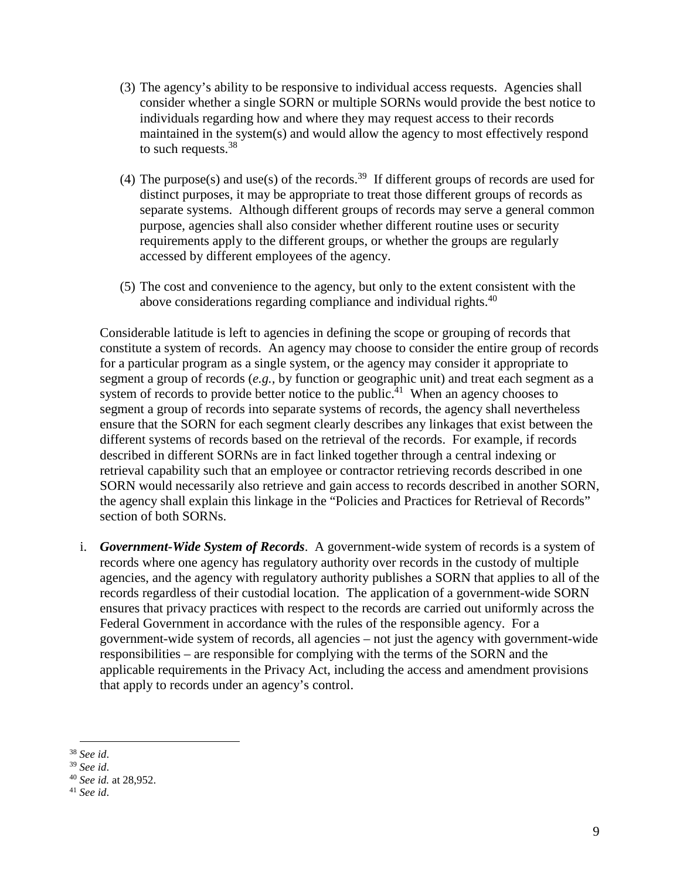- (3) The agency's ability to be responsive to individual access requests. Agencies shall consider whether a single SORN or multiple SORNs would provide the best notice to individuals regarding how and where they may request access to their records maintained in the system(s) and would allow the agency to most effectively respond to such requests.<sup>38</sup>
- (4) The purpose(s) and use(s) of the records.<sup>39</sup> If different groups of records are used for distinct purposes, it may be appropriate to treat those different groups of records as separate systems. Although different groups of records may serve a general common purpose, agencies shall also consider whether different routine uses or security requirements apply to the different groups, or whether the groups are regularly accessed by different employees of the agency.
- (5) The cost and convenience to the agency, but only to the extent consistent with the above considerations regarding compliance and individual rights.<sup>40</sup>

Considerable latitude is left to agencies in defining the scope or grouping of records that constitute a system of records. An agency may choose to consider the entire group of records for a particular program as a single system, or the agency may consider it appropriate to segment a group of records (*e.g.,* by function or geographic unit) and treat each segment as a system of records to provide better notice to the public.<sup>41</sup> When an agency chooses to segment a group of records into separate systems of records, the agency shall nevertheless ensure that the SORN for each segment clearly describes any linkages that exist between the different systems of records based on the retrieval of the records. For example, if records described in different SORNs are in fact linked together through a central indexing or retrieval capability such that an employee or contractor retrieving records described in one SORN would necessarily also retrieve and gain access to records described in another SORN, the agency shall explain this linkage in the "Policies and Practices for Retrieval of Records" section of both SORNs.

i. *Government-Wide System of Records*. A government-wide system of records is a system of records where one agency has regulatory authority over records in the custody of multiple agencies, and the agency with regulatory authority publishes a SORN that applies to all of the records regardless of their custodial location. The application of a government-wide SORN ensures that privacy practices with respect to the records are carried out uniformly across the Federal Government in accordance with the rules of the responsible agency. For a government-wide system of records, all agencies – not just the agency with government-wide responsibilities – are responsible for complying with the terms of the SORN and the applicable requirements in the Privacy Act, including the access and amendment provisions that apply to records under an agency's control.

<sup>38</sup> *See id*. 39 *See id*. 40 *See id.* at 28,952.

<sup>41</sup> *See id*.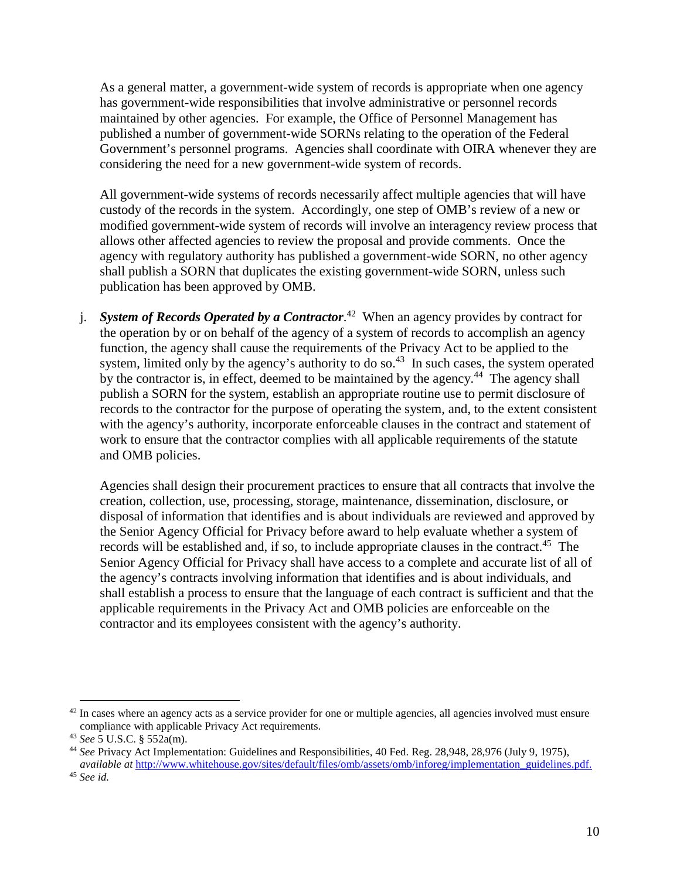As a general matter, a government-wide system of records is appropriate when one agency has government-wide responsibilities that involve administrative or personnel records maintained by other agencies. For example, the Office of Personnel Management has published a number of government-wide SORNs relating to the operation of the Federal Government's personnel programs. Agencies shall coordinate with OIRA whenever they are considering the need for a new government-wide system of records.

All government-wide systems of records necessarily affect multiple agencies that will have custody of the records in the system. Accordingly, one step of OMB's review of a new or modified government-wide system of records will involve an interagency review process that allows other affected agencies to review the proposal and provide comments. Once the agency with regulatory authority has published a government-wide SORN, no other agency shall publish a SORN that duplicates the existing government-wide SORN, unless such publication has been approved by OMB.

j. *System of Records Operated by a Contractor*. 42 When an agency provides by contract for the operation by or on behalf of the agency of a system of records to accomplish an agency function, the agency shall cause the requirements of the Privacy Act to be applied to the system, limited only by the agency's authority to do so.<sup>43</sup> In such cases, the system operated by the contractor is, in effect, deemed to be maintained by the agency.<sup>44</sup> The agency shall publish a SORN for the system, establish an appropriate routine use to permit disclosure of records to the contractor for the purpose of operating the system, and, to the extent consistent with the agency's authority, incorporate enforceable clauses in the contract and statement of work to ensure that the contractor complies with all applicable requirements of the statute and OMB policies.

Agencies shall design their procurement practices to ensure that all contracts that involve the creation, collection, use, processing, storage, maintenance, dissemination, disclosure, or disposal of information that identifies and is about individuals are reviewed and approved by the Senior Agency Official for Privacy before award to help evaluate whether a system of records will be established and, if so, to include appropriate clauses in the contract.<sup>45</sup> The Senior Agency Official for Privacy shall have access to a complete and accurate list of all of the agency's contracts involving information that identifies and is about individuals, and shall establish a process to ensure that the language of each contract is sufficient and that the applicable requirements in the Privacy Act and OMB policies are enforceable on the contractor and its employees consistent with the agency's authority.

 $42$  In cases where an agency acts as a service provider for one or multiple agencies, all agencies involved must ensure compliance with applicable Privacy Act requirements. 43 *See* 5 U.S.C. § 552a(m).

<sup>44</sup> *See* Privacy Act Implementation: Guidelines and Responsibilities, 40 Fed. Reg. 28,948, 28,976 (July 9, 1975), *available at* [http://www.whitehouse.gov/sites/default/files/omb/assets/omb/inforeg/implementation\\_guidelines.pdf.](http://www.whitehouse.gov/sites/default/files/omb/assets/omb/inforeg/implementation_guidelines.pdf) <sup>45</sup> *See id.*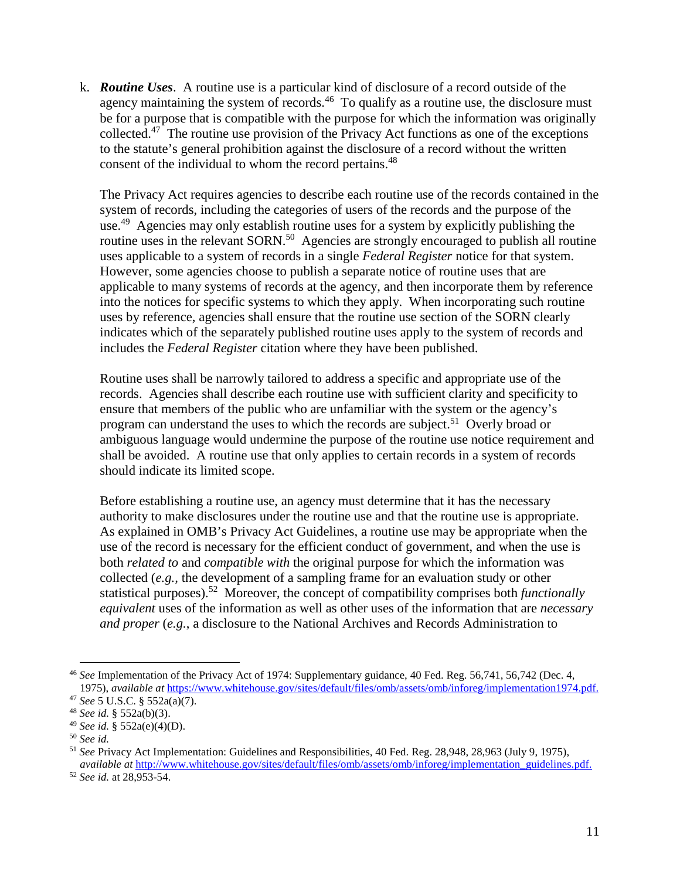k. *Routine Uses*. A routine use is a particular kind of disclosure of a record outside of the agency maintaining the system of records.<sup>46</sup> To qualify as a routine use, the disclosure must be for a purpose that is compatible with the purpose for which the information was originally collected.<sup>47</sup> The routine use provision of the Privacy Act functions as one of the exceptions to the statute's general prohibition against the disclosure of a record without the written consent of the individual to whom the record pertains.<sup>48</sup>

The Privacy Act requires agencies to describe each routine use of the records contained in the system of records, including the categories of users of the records and the purpose of the use.<sup>49</sup> Agencies may only establish routine uses for a system by explicitly publishing the routine uses in the relevant SORN.<sup>50</sup> Agencies are strongly encouraged to publish all routine uses applicable to a system of records in a single *Federal Register* notice for that system. However, some agencies choose to publish a separate notice of routine uses that are applicable to many systems of records at the agency, and then incorporate them by reference into the notices for specific systems to which they apply. When incorporating such routine uses by reference, agencies shall ensure that the routine use section of the SORN clearly indicates which of the separately published routine uses apply to the system of records and includes the *Federal Register* citation where they have been published.

Routine uses shall be narrowly tailored to address a specific and appropriate use of the records. Agencies shall describe each routine use with sufficient clarity and specificity to ensure that members of the public who are unfamiliar with the system or the agency's program can understand the uses to which the records are subject.<sup>51</sup> Overly broad or ambiguous language would undermine the purpose of the routine use notice requirement and shall be avoided. A routine use that only applies to certain records in a system of records should indicate its limited scope.

Before establishing a routine use, an agency must determine that it has the necessary authority to make disclosures under the routine use and that the routine use is appropriate. As explained in OMB's Privacy Act Guidelines, a routine use may be appropriate when the use of the record is necessary for the efficient conduct of government, and when the use is both *related to* and *compatible with* the original purpose for which the information was collected (*e.g.,* the development of a sampling frame for an evaluation study or other statistical purposes). 52 Moreover, the concept of compatibility comprises both *functionally equivalent* uses of the information as well as other uses of the information that are *necessary and proper* (*e.g.*, a disclosure to the National Archives and Records Administration to

 <sup>46</sup> *See* Implementation of the Privacy Act of 1974: Supplementary guidance, 40 Fed. Reg. 56,741, 56,742 (Dec. 4, 1975), *available at* [https://www.whitehouse.gov/sites/default/files/omb/assets/omb/inforeg/implementation1974.pdf.](https://www.whitehouse.gov/sites/default/files/omb/assets/omb/inforeg/implementation1974.pdf)

<sup>47</sup> *See* 5 U.S.C. § 552a(a)(7).

<sup>48</sup> *See id.* § 552a(b)(3).

<sup>49</sup> *See id.* § 552a(e)(4)(D).

<sup>50</sup> *See id.*

<sup>51</sup> *See* Privacy Act Implementation: Guidelines and Responsibilities, 40 Fed. Reg. 28,948, 28,963 (July 9, 1975), *available at* [http://www.whitehouse.gov/sites/default/files/omb/assets/omb/inforeg/implementation\\_guidelines.pdf.](http://www.whitehouse.gov/sites/default/files/omb/assets/omb/inforeg/implementation_guidelines.pdf)

<sup>52</sup> *See id.* at 28,953-54.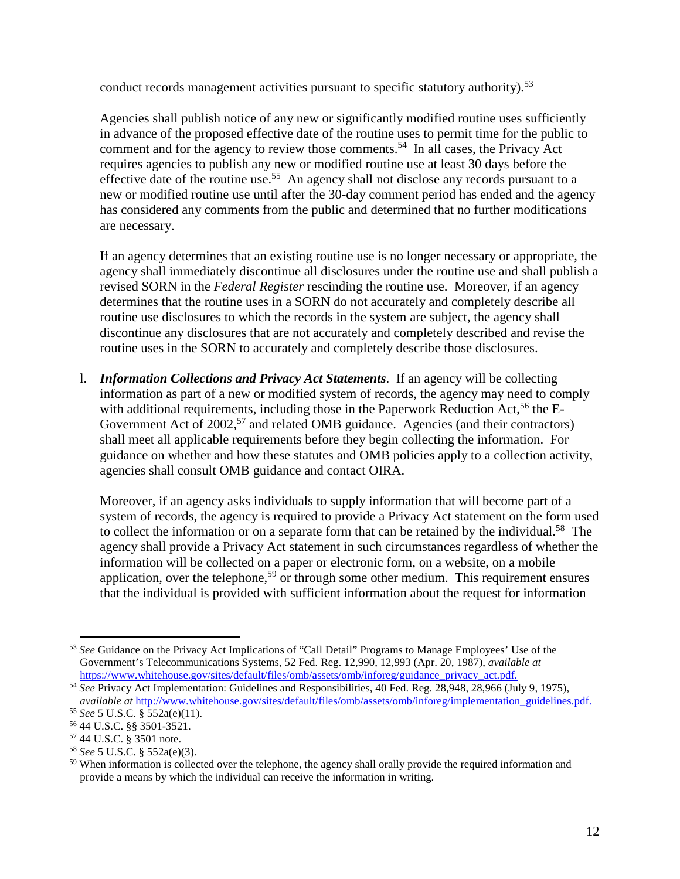conduct records management activities pursuant to specific statutory authority).<sup>53</sup>

Agencies shall publish notice of any new or significantly modified routine uses sufficiently in advance of the proposed effective date of the routine uses to permit time for the public to comment and for the agency to review those comments.<sup>54</sup> In all cases, the Privacy Act requires agencies to publish any new or modified routine use at least 30 days before the effective date of the routine use.<sup>55</sup> An agency shall not disclose any records pursuant to a new or modified routine use until after the 30-day comment period has ended and the agency has considered any comments from the public and determined that no further modifications are necessary.

If an agency determines that an existing routine use is no longer necessary or appropriate, the agency shall immediately discontinue all disclosures under the routine use and shall publish a revised SORN in the *Federal Register* rescinding the routine use. Moreover, if an agency determines that the routine uses in a SORN do not accurately and completely describe all routine use disclosures to which the records in the system are subject, the agency shall discontinue any disclosures that are not accurately and completely described and revise the routine uses in the SORN to accurately and completely describe those disclosures.

l. *Information Collections and Privacy Act Statements*. If an agency will be collecting information as part of a new or modified system of records, the agency may need to comply with additional requirements, including those in the Paperwork Reduction Act,  $56$  the E-Government Act of 2002,<sup>57</sup> and related OMB guidance. Agencies (and their contractors) shall meet all applicable requirements before they begin collecting the information. For guidance on whether and how these statutes and OMB policies apply to a collection activity, agencies shall consult OMB guidance and contact OIRA.

Moreover, if an agency asks individuals to supply information that will become part of a system of records, the agency is required to provide a Privacy Act statement on the form used to collect the information or on a separate form that can be retained by the individual.<sup>58</sup> The agency shall provide a Privacy Act statement in such circumstances regardless of whether the information will be collected on a paper or electronic form, on a website, on a mobile application, over the telephone,<sup>59</sup> or through some other medium. This requirement ensures that the individual is provided with sufficient information about the request for information

 <sup>53</sup> *See* Guidance on the Privacy Act Implications of "Call Detail" Programs to Manage Employees' Use of the Government's Telecommunications Systems, 52 Fed. Reg. 12,990, 12,993 (Apr. 20, 1987), *available at*

[https://www.whitehouse.gov/sites/default/files/omb/assets/omb/inforeg/guidance\\_privacy\\_act.pdf.](https://www.whitehouse.gov/sites/default/files/omb/assets/omb/inforeg/guidance_privacy_act.pdf) 54 *See* Privacy Act Implementation: Guidelines and Responsibilities, 40 Fed. Reg. 28,948, 28,966 (July 9, 1975), *available at* [http://www.whitehouse.gov/sites/default/files/omb/assets/omb/inforeg/implementation\\_guidelines.pdf.](http://www.whitehouse.gov/sites/default/files/omb/assets/omb/inforeg/implementation_guidelines.pdf) 55 *See* 5 U.S.C. § 552a(e)(11).

<sup>56</sup> 44 U.S.C. §§ 3501-3521.

<sup>57</sup> 44 U.S.C. § 3501 note.

<sup>58</sup> *See* 5 U.S.C. § 552a(e)(3).

<sup>&</sup>lt;sup>59</sup> When information is collected over the telephone, the agency shall orally provide the required information and provide a means by which the individual can receive the information in writing.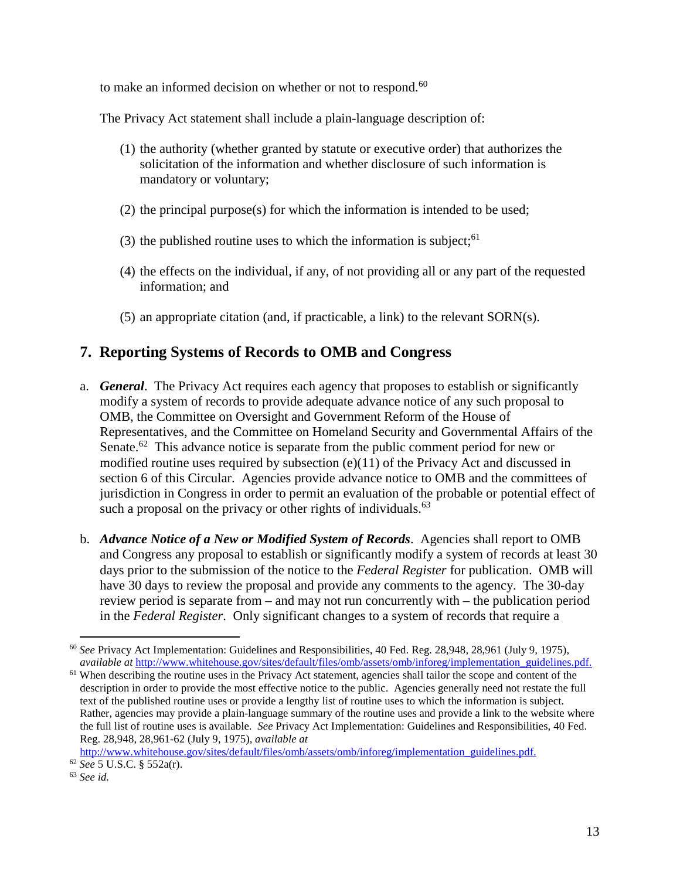to make an informed decision on whether or not to respond.<sup>60</sup>

The Privacy Act statement shall include a plain-language description of:

- (1) the authority (whether granted by statute or executive order) that authorizes the solicitation of the information and whether disclosure of such information is mandatory or voluntary;
- (2) the principal purpose(s) for which the information is intended to be used;
- (3) the published routine uses to which the information is subject; 61
- (4) the effects on the individual, if any, of not providing all or any part of the requested information; and
- (5) an appropriate citation (and, if practicable, a link) to the relevant SORN(s).

## **7. Reporting Systems of Records to OMB and Congress**

- a. *General*. The Privacy Act requires each agency that proposes to establish or significantly modify a system of records to provide adequate advance notice of any such proposal to OMB, the Committee on Oversight and Government Reform of the House of Representatives, and the Committee on Homeland Security and Governmental Affairs of the Senate.<sup>62</sup> This advance notice is separate from the public comment period for new or modified routine uses required by subsection (e)(11) of the Privacy Act and discussed in section 6 of this Circular. Agencies provide advance notice to OMB and the committees of jurisdiction in Congress in order to permit an evaluation of the probable or potential effect of such a proposal on the privacy or other rights of individuals. $^{63}$
- b. *Advance Notice of a New or Modified System of Records*. Agencies shall report to OMB and Congress any proposal to establish or significantly modify a system of records at least 30 days prior to the submission of the notice to the *Federal Register* for publication. OMB will have 30 days to review the proposal and provide any comments to the agency. The 30-day review period is separate from – and may not run concurrently with – the publication period in the *Federal Register*. Only significant changes to a system of records that require a

 <sup>60</sup> *See* Privacy Act Implementation: Guidelines and Responsibilities, 40 Fed. Reg. 28,948, 28,961 (July 9, 1975), *available at* [http://www.whitehouse.gov/sites/default/files/omb/assets/omb/inforeg/implementation\\_guidelines.pdf.](http://www.whitehouse.gov/sites/default/files/omb/assets/omb/inforeg/implementation_guidelines.pdf)

<sup>&</sup>lt;sup>61</sup> When describing the routine uses in the Privacy Act statement, agencies shall tailor the scope and content of the description in order to provide the most effective notice to the public. Agencies generally need not restate the full text of the published routine uses or provide a lengthy list of routine uses to which the information is subject. Rather, agencies may provide a plain-language summary of the routine uses and provide a link to the website where the full list of routine uses is available. *See* Privacy Act Implementation: Guidelines and Responsibilities, 40 Fed. Reg. 28,948, 28,961-62 (July 9, 1975), *available at*

[http://www.whitehouse.gov/sites/default/files/omb/assets/omb/inforeg/implementation\\_guidelines.pdf.](http://www.whitehouse.gov/sites/default/files/omb/assets/omb/inforeg/implementation_guidelines.pdf)

<sup>62</sup> *See* 5 U.S.C. § 552a(r).

<sup>63</sup> *See id.*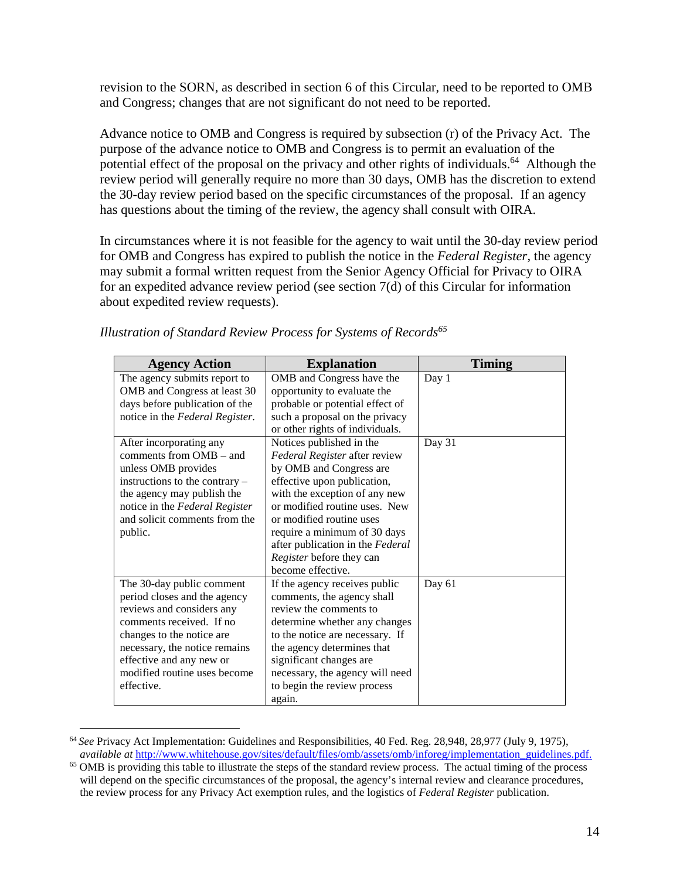revision to the SORN, as described in section 6 of this Circular, need to be reported to OMB and Congress; changes that are not significant do not need to be reported.

Advance notice to OMB and Congress is required by subsection (r) of the Privacy Act. The purpose of the advance notice to OMB and Congress is to permit an evaluation of the potential effect of the proposal on the privacy and other rights of individuals.<sup>64</sup> Although the review period will generally require no more than 30 days, OMB has the discretion to extend the 30-day review period based on the specific circumstances of the proposal. If an agency has questions about the timing of the review, the agency shall consult with OIRA.

In circumstances where it is not feasible for the agency to wait until the 30-day review period for OMB and Congress has expired to publish the notice in the *Federal Register*, the agency may submit a formal written request from the Senior Agency Official for Privacy to OIRA for an expedited advance review period (see section 7(d) of this Circular for information about expedited review requests).

| <b>Agency Action</b>                                                                                                                                                                                                                                       | <b>Explanation</b>                                                                                                                                                                                                                                                                                                                     | <b>Timing</b> |
|------------------------------------------------------------------------------------------------------------------------------------------------------------------------------------------------------------------------------------------------------------|----------------------------------------------------------------------------------------------------------------------------------------------------------------------------------------------------------------------------------------------------------------------------------------------------------------------------------------|---------------|
| The agency submits report to<br>OMB and Congress at least 30<br>days before publication of the                                                                                                                                                             | OMB and Congress have the<br>opportunity to evaluate the<br>probable or potential effect of                                                                                                                                                                                                                                            | Day 1         |
| notice in the Federal Register.                                                                                                                                                                                                                            | such a proposal on the privacy<br>or other rights of individuals.                                                                                                                                                                                                                                                                      |               |
| After incorporating any<br>comments from OMB – and<br>unless OMB provides<br>instructions to the contrary –<br>the agency may publish the<br>notice in the Federal Register<br>and solicit comments from the<br>public.                                    | Notices published in the<br>Federal Register after review<br>by OMB and Congress are<br>effective upon publication,<br>with the exception of any new<br>or modified routine uses. New<br>or modified routine uses<br>require a minimum of 30 days<br>after publication in the Federal<br>Register before they can<br>become effective. | Day 31        |
| The 30-day public comment<br>period closes and the agency<br>reviews and considers any<br>comments received. If no<br>changes to the notice are<br>necessary, the notice remains<br>effective and any new or<br>modified routine uses become<br>effective. | If the agency receives public<br>comments, the agency shall<br>review the comments to<br>determine whether any changes<br>to the notice are necessary. If<br>the agency determines that<br>significant changes are<br>necessary, the agency will need<br>to begin the review process<br>again.                                         | Day 61        |

*Illustration of Standard Review Process for Systems of Records<sup>65</sup>*

 <sup>64</sup> *See* Privacy Act Implementation: Guidelines and Responsibilities, 40 Fed. Reg. 28,948, 28,977 (July 9, 1975), *available at* [http://www.whitehouse.gov/sites/default/files/omb/assets/omb/inforeg/implementation\\_guidelines.pdf.](http://www.whitehouse.gov/sites/default/files/omb/assets/omb/inforeg/implementation_guidelines.pdf)

<sup>&</sup>lt;sup>65</sup> OMB is providing this table to illustrate the steps of the standard review process. The actual timing of the process will depend on the specific circumstances of the proposal, the agency's internal review and clearance procedures, the review process for any Privacy Act exemption rules, and the logistics of *Federal Register* publication.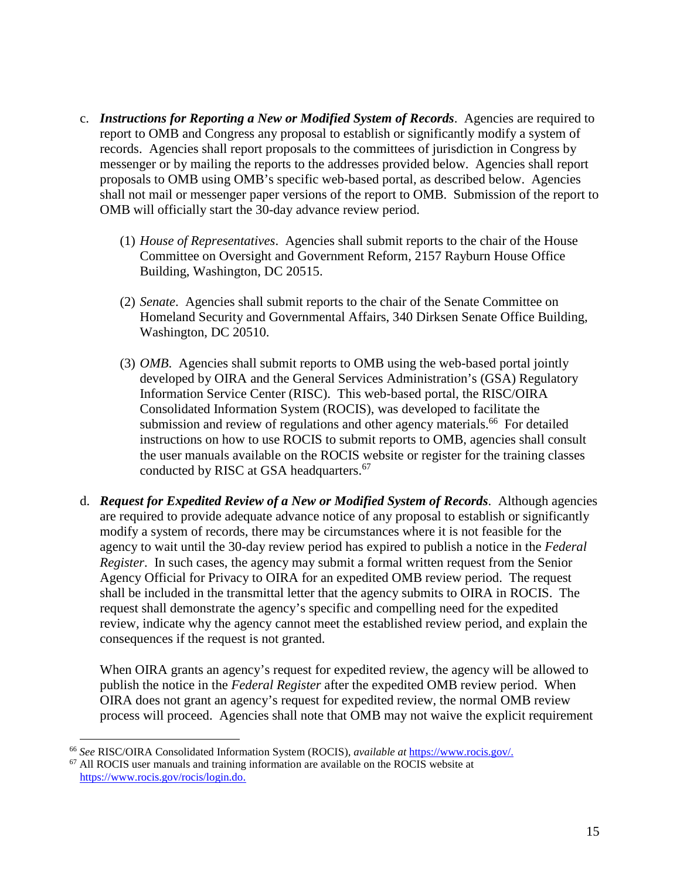- c. *Instructions for Reporting a New or Modified System of Records*. Agencies are required to report to OMB and Congress any proposal to establish or significantly modify a system of records. Agencies shall report proposals to the committees of jurisdiction in Congress by messenger or by mailing the reports to the addresses provided below. Agencies shall report proposals to OMB using OMB's specific web-based portal, as described below. Agencies shall not mail or messenger paper versions of the report to OMB. Submission of the report to OMB will officially start the 30-day advance review period.
	- (1) *House of Representatives*. Agencies shall submit reports to the chair of the House Committee on Oversight and Government Reform, 2157 Rayburn House Office Building, Washington, DC 20515.
	- (2) *Senate*. Agencies shall submit reports to the chair of the Senate Committee on Homeland Security and Governmental Affairs, 340 Dirksen Senate Office Building, Washington, DC 20510.
	- (3) *OMB*. Agencies shall submit reports to OMB using the web-based portal jointly developed by OIRA and the General Services Administration's (GSA) Regulatory Information Service Center (RISC). This web-based portal, the RISC/OIRA Consolidated Information System (ROCIS), was developed to facilitate the submission and review of regulations and other agency materials.<sup>66</sup> For detailed instructions on how to use ROCIS to submit reports to OMB, agencies shall consult the user manuals available on the ROCIS website or register for the training classes conducted by RISC at GSA headquarters.<sup>67</sup>
- d. *Request for Expedited Review of a New or Modified System of Records*. Although agencies are required to provide adequate advance notice of any proposal to establish or significantly modify a system of records, there may be circumstances where it is not feasible for the agency to wait until the 30-day review period has expired to publish a notice in the *Federal Register*. In such cases, the agency may submit a formal written request from the Senior Agency Official for Privacy to OIRA for an expedited OMB review period. The request shall be included in the transmittal letter that the agency submits to OIRA in ROCIS. The request shall demonstrate the agency's specific and compelling need for the expedited review, indicate why the agency cannot meet the established review period, and explain the consequences if the request is not granted.

When OIRA grants an agency's request for expedited review, the agency will be allowed to publish the notice in the *Federal Register* after the expedited OMB review period. When OIRA does not grant an agency's request for expedited review, the normal OMB review process will proceed. Agencies shall note that OMB may not waive the explicit requirement

<sup>66</sup> *See* RISC/OIRA Consolidated Information System (ROCIS), *available at* [https://www.rocis.gov/.](https://www.rocis.gov/) 67 All ROCIS user manuals and training information are available on the ROCIS website at

[https://www.rocis.gov/rocis/login.do.](https://www.rocis.gov/rocis/login.do)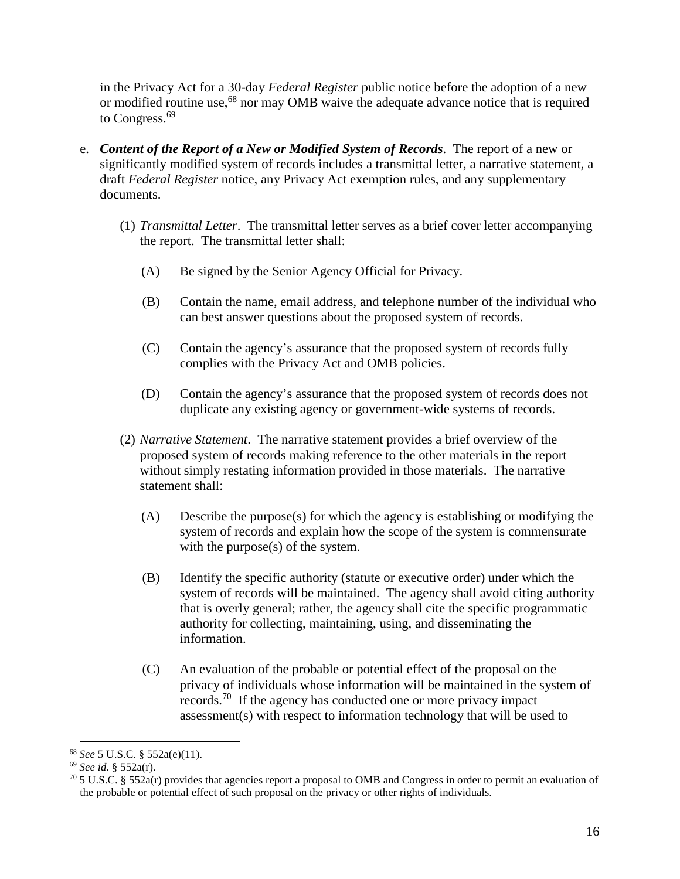in the Privacy Act for a 30-day *Federal Register* public notice before the adoption of a new or modified routine use,<sup>68</sup> nor may OMB waive the adequate advance notice that is required to Congress.<sup>69</sup>

- e. *Content of the Report of a New or Modified System of Records*. The report of a new or significantly modified system of records includes a transmittal letter, a narrative statement, a draft *Federal Register* notice, any Privacy Act exemption rules, and any supplementary documents.
	- (1) *Transmittal Letter*. The transmittal letter serves as a brief cover letter accompanying the report. The transmittal letter shall:
		- (A) Be signed by the Senior Agency Official for Privacy.
		- (B) Contain the name, email address, and telephone number of the individual who can best answer questions about the proposed system of records.
		- (C) Contain the agency's assurance that the proposed system of records fully complies with the Privacy Act and OMB policies.
		- (D) Contain the agency's assurance that the proposed system of records does not duplicate any existing agency or government-wide systems of records.
	- (2) *Narrative Statement*. The narrative statement provides a brief overview of the proposed system of records making reference to the other materials in the report without simply restating information provided in those materials. The narrative statement shall:
		- (A) Describe the purpose(s) for which the agency is establishing or modifying the system of records and explain how the scope of the system is commensurate with the purpose(s) of the system.
		- (B) Identify the specific authority (statute or executive order) under which the system of records will be maintained. The agency shall avoid citing authority that is overly general; rather, the agency shall cite the specific programmatic authority for collecting, maintaining, using, and disseminating the information.
		- (C) An evaluation of the probable or potential effect of the proposal on the privacy of individuals whose information will be maintained in the system of records.70 If the agency has conducted one or more privacy impact assessment(s) with respect to information technology that will be used to

 <sup>68</sup> *See* 5 U.S.C. § 552a(e)(11).

<sup>69</sup> *See id.* § 552a(r).

 $^{70}$  5 U.S.C. § 552a(r) provides that agencies report a proposal to OMB and Congress in order to permit an evaluation of the probable or potential effect of such proposal on the privacy or other rights of individuals.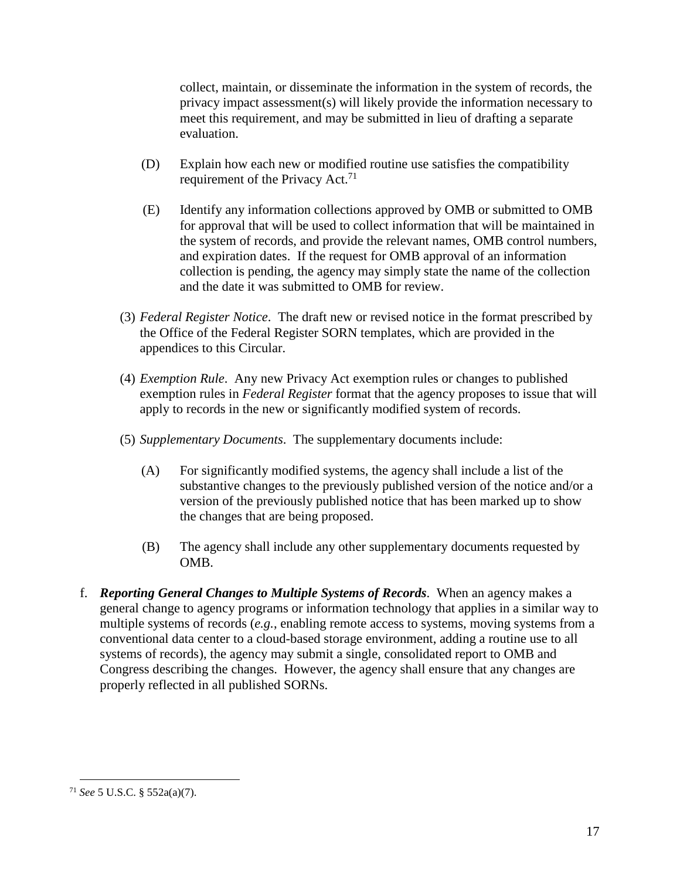collect, maintain, or disseminate the information in the system of records, the privacy impact assessment(s) will likely provide the information necessary to meet this requirement, and may be submitted in lieu of drafting a separate evaluation.

- (D) Explain how each new or modified routine use satisfies the compatibility requirement of the Privacy Act.<sup>71</sup>
- (E) Identify any information collections approved by OMB or submitted to OMB for approval that will be used to collect information that will be maintained in the system of records, and provide the relevant names, OMB control numbers, and expiration dates. If the request for OMB approval of an information collection is pending, the agency may simply state the name of the collection and the date it was submitted to OMB for review.
- (3) *Federal Register Notice*. The draft new or revised notice in the format prescribed by the Office of the Federal Register SORN templates, which are provided in the appendices to this Circular.
- (4) *Exemption Rule*. Any new Privacy Act exemption rules or changes to published exemption rules in *Federal Register* format that the agency proposes to issue that will apply to records in the new or significantly modified system of records.
- (5) *Supplementary Documents*. The supplementary documents include:
	- (A) For significantly modified systems, the agency shall include a list of the substantive changes to the previously published version of the notice and/or a version of the previously published notice that has been marked up to show the changes that are being proposed.
	- (B) The agency shall include any other supplementary documents requested by OMB.
- f. *Reporting General Changes to Multiple Systems of Records*. When an agency makes a general change to agency programs or information technology that applies in a similar way to multiple systems of records (*e.g.*, enabling remote access to systems, moving systems from a conventional data center to a cloud-based storage environment, adding a routine use to all systems of records), the agency may submit a single, consolidated report to OMB and Congress describing the changes. However, the agency shall ensure that any changes are properly reflected in all published SORNs.

 <sup>71</sup> *See* 5 U.S.C. § 552a(a)(7).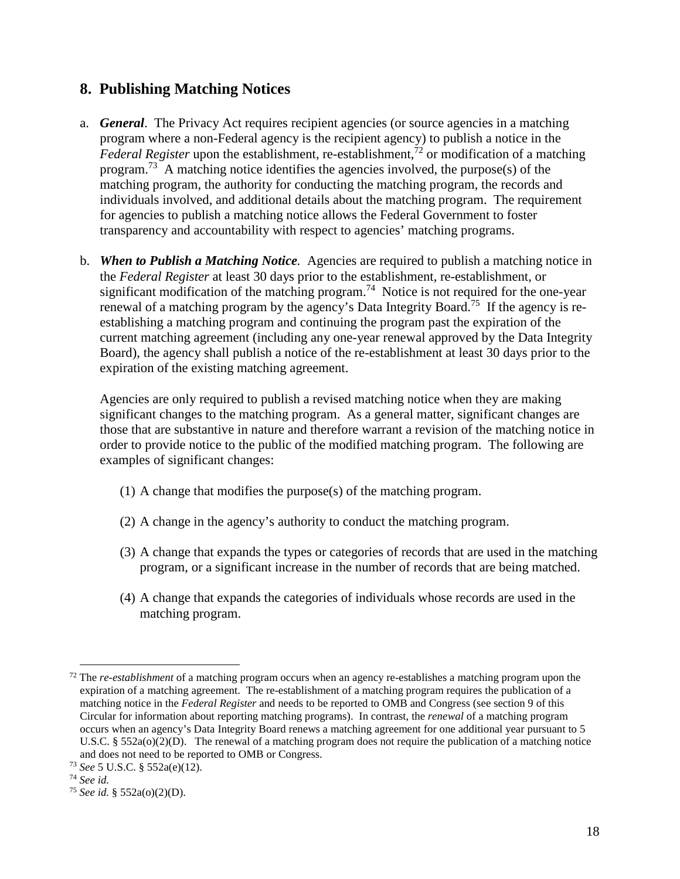### **8. Publishing Matching Notices**

- a. *General*. The Privacy Act requires recipient agencies (or source agencies in a matching program where a non-Federal agency is the recipient agency) to publish a notice in the *Federal Register* upon the establishment, re-establishment, <sup>72</sup> or modification of a matching program.<sup>73</sup> A matching notice identifies the agencies involved, the purpose(s) of the matching program, the authority for conducting the matching program, the records and individuals involved, and additional details about the matching program. The requirement for agencies to publish a matching notice allows the Federal Government to foster transparency and accountability with respect to agencies' matching programs.
- b. *When to Publish a Matching Notice.* Agencies are required to publish a matching notice in the *Federal Register* at least 30 days prior to the establishment, re-establishment, or significant modification of the matching program.<sup>74</sup> Notice is not required for the one-year renewal of a matching program by the agency's Data Integrity Board.75 If the agency is reestablishing a matching program and continuing the program past the expiration of the current matching agreement (including any one-year renewal approved by the Data Integrity Board), the agency shall publish a notice of the re-establishment at least 30 days prior to the expiration of the existing matching agreement.

Agencies are only required to publish a revised matching notice when they are making significant changes to the matching program. As a general matter, significant changes are those that are substantive in nature and therefore warrant a revision of the matching notice in order to provide notice to the public of the modified matching program. The following are examples of significant changes:

- (1) A change that modifies the purpose(s) of the matching program.
- (2) A change in the agency's authority to conduct the matching program.
- (3) A change that expands the types or categories of records that are used in the matching program, or a significant increase in the number of records that are being matched.
- (4) A change that expands the categories of individuals whose records are used in the matching program.

 <sup>72</sup> The *re-establishment* of a matching program occurs when an agency re-establishes a matching program upon the expiration of a matching agreement. The re-establishment of a matching program requires the publication of a matching notice in the *Federal Register* and needs to be reported to OMB and Congress (see section 9 of this Circular for information about reporting matching programs). In contrast, the *renewal* of a matching program occurs when an agency's Data Integrity Board renews a matching agreement for one additional year pursuant to 5 U.S.C.  $\S 552a(0)(2)(D)$ . The renewal of a matching program does not require the publication of a matching notice and does not need to be reported to OMB or Congress.

<sup>73</sup> *See* 5 U.S.C. § 552a(e)(12).

<sup>74</sup> *See id.*

<sup>75</sup> *See id.* § 552a(o)(2)(D).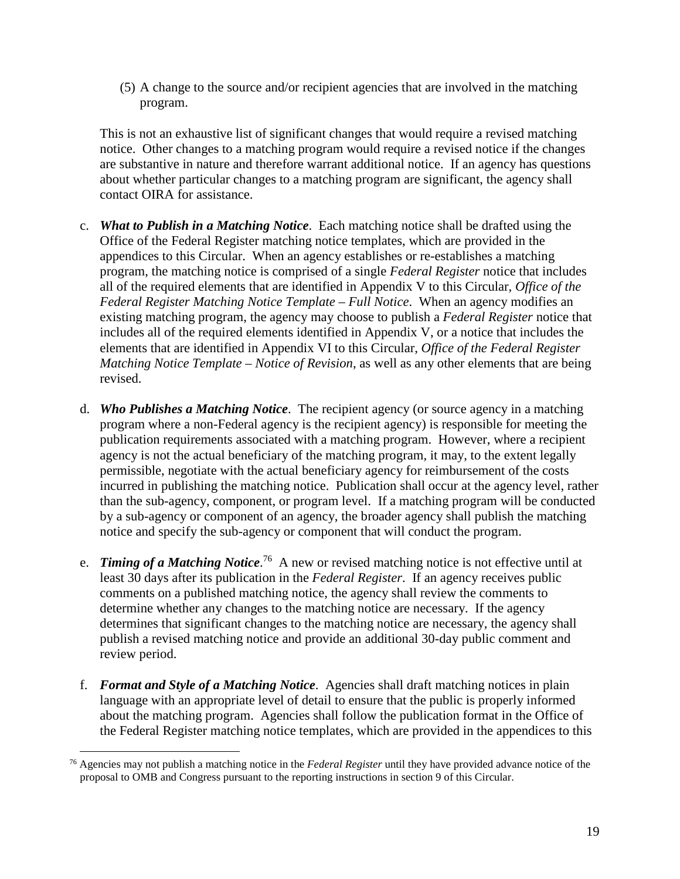(5) A change to the source and/or recipient agencies that are involved in the matching program.

This is not an exhaustive list of significant changes that would require a revised matching notice. Other changes to a matching program would require a revised notice if the changes are substantive in nature and therefore warrant additional notice. If an agency has questions about whether particular changes to a matching program are significant, the agency shall contact OIRA for assistance.

- c. *What to Publish in a Matching Notice*. Each matching notice shall be drafted using the Office of the Federal Register matching notice templates, which are provided in the appendices to this Circular. When an agency establishes or re-establishes a matching program, the matching notice is comprised of a single *Federal Register* notice that includes all of the required elements that are identified in Appendix V to this Circular, *Office of the Federal Register Matching Notice Template – Full Notice*. When an agency modifies an existing matching program, the agency may choose to publish a *Federal Register* notice that includes all of the required elements identified in Appendix V, or a notice that includes the elements that are identified in Appendix VI to this Circular, *Office of the Federal Register Matching Notice Template – Notice of Revision*, as well as any other elements that are being revised.
- d. *Who Publishes a Matching Notice*. The recipient agency (or source agency in a matching program where a non-Federal agency is the recipient agency) is responsible for meeting the publication requirements associated with a matching program. However, where a recipient agency is not the actual beneficiary of the matching program, it may, to the extent legally permissible, negotiate with the actual beneficiary agency for reimbursement of the costs incurred in publishing the matching notice. Publication shall occur at the agency level, rather than the sub-agency, component, or program level. If a matching program will be conducted by a sub-agency or component of an agency, the broader agency shall publish the matching notice and specify the sub-agency or component that will conduct the program.
- e. *Timing of a Matching Notice*.<sup>76</sup> A new or revised matching notice is not effective until at least 30 days after its publication in the *Federal Register*. If an agency receives public comments on a published matching notice, the agency shall review the comments to determine whether any changes to the matching notice are necessary. If the agency determines that significant changes to the matching notice are necessary, the agency shall publish a revised matching notice and provide an additional 30-day public comment and review period.
- f. *Format and Style of a Matching Notice*. Agencies shall draft matching notices in plain language with an appropriate level of detail to ensure that the public is properly informed about the matching program. Agencies shall follow the publication format in the Office of the Federal Register matching notice templates, which are provided in the appendices to this

 <sup>76</sup> Agencies may not publish a matching notice in the *Federal Register* until they have provided advance notice of the proposal to OMB and Congress pursuant to the reporting instructions in section 9 of this Circular.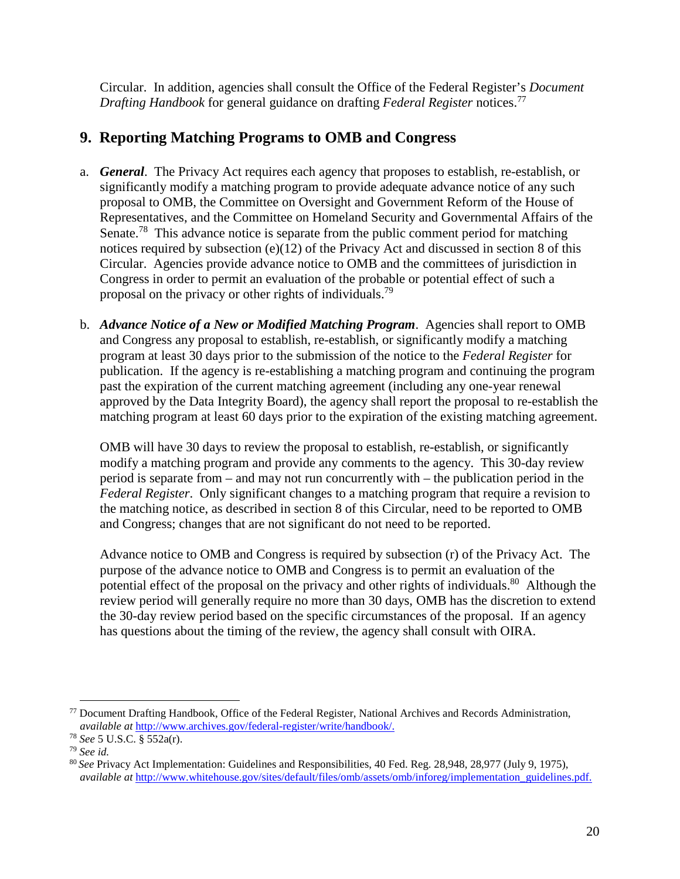Circular. In addition, agencies shall consult the Office of the Federal Register's *Document Drafting Handbook* for general guidance on drafting *Federal Register* notices.<sup>77</sup>

## **9. Reporting Matching Programs to OMB and Congress**

- a. *General*. The Privacy Act requires each agency that proposes to establish, re-establish, or significantly modify a matching program to provide adequate advance notice of any such proposal to OMB, the Committee on Oversight and Government Reform of the House of Representatives, and the Committee on Homeland Security and Governmental Affairs of the Senate.<sup>78</sup> This advance notice is separate from the public comment period for matching notices required by subsection (e)(12) of the Privacy Act and discussed in section 8 of this Circular. Agencies provide advance notice to OMB and the committees of jurisdiction in Congress in order to permit an evaluation of the probable or potential effect of such a proposal on the privacy or other rights of individuals.<sup>79</sup>
- b. *Advance Notice of a New or Modified Matching Program*. Agencies shall report to OMB and Congress any proposal to establish, re-establish, or significantly modify a matching program at least 30 days prior to the submission of the notice to the *Federal Register* for publication. If the agency is re-establishing a matching program and continuing the program past the expiration of the current matching agreement (including any one-year renewal approved by the Data Integrity Board), the agency shall report the proposal to re-establish the matching program at least 60 days prior to the expiration of the existing matching agreement.

OMB will have 30 days to review the proposal to establish, re-establish, or significantly modify a matching program and provide any comments to the agency. This 30-day review period is separate from – and may not run concurrently with – the publication period in the *Federal Register*. Only significant changes to a matching program that require a revision to the matching notice, as described in section 8 of this Circular, need to be reported to OMB and Congress; changes that are not significant do not need to be reported.

Advance notice to OMB and Congress is required by subsection (r) of the Privacy Act. The purpose of the advance notice to OMB and Congress is to permit an evaluation of the potential effect of the proposal on the privacy and other rights of individuals.<sup>80</sup> Although the review period will generally require no more than 30 days, OMB has the discretion to extend the 30-day review period based on the specific circumstances of the proposal. If an agency has questions about the timing of the review, the agency shall consult with OIRA.

 <sup>77</sup> Document Drafting Handbook, Office of the Federal Register, National Archives and Records Administration, *available at* [http://www.archives.gov/federal-register/write/handbook/.](http://www.archives.gov/federal-register/write/handbook/) 78 *See* 5 U.S.C. § 552a(r).

<sup>79</sup> *See id.*

<sup>80</sup>*See* Privacy Act Implementation: Guidelines and Responsibilities, 40 Fed. Reg. 28,948, 28,977 (July 9, 1975), *available at* [http://www.whitehouse.gov/sites/default/files/omb/assets/omb/inforeg/implementation\\_guidelines.pdf.](http://www.whitehouse.gov/sites/default/files/omb/assets/omb/inforeg/implementation_guidelines.pdf)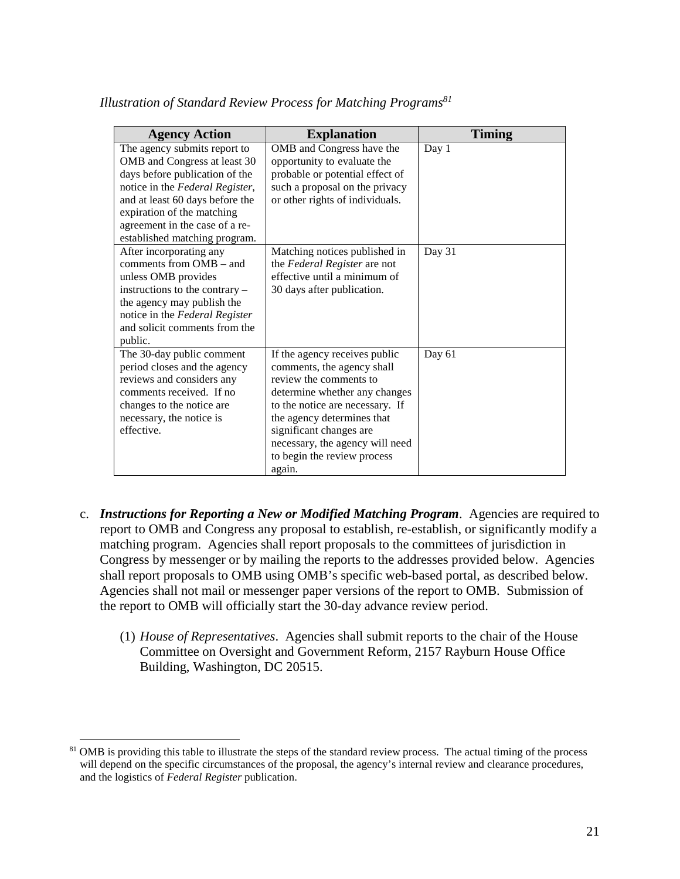| <b>Agency Action</b>                                                                                                                                                                                                                                                  | <b>Explanation</b>                                                                                                                                                                                                                                                                             | <b>Timing</b> |
|-----------------------------------------------------------------------------------------------------------------------------------------------------------------------------------------------------------------------------------------------------------------------|------------------------------------------------------------------------------------------------------------------------------------------------------------------------------------------------------------------------------------------------------------------------------------------------|---------------|
| The agency submits report to<br>OMB and Congress at least 30<br>days before publication of the<br>notice in the Federal Register,<br>and at least 60 days before the<br>expiration of the matching<br>agreement in the case of a re-<br>established matching program. | OMB and Congress have the<br>opportunity to evaluate the<br>probable or potential effect of<br>such a proposal on the privacy<br>or other rights of individuals.                                                                                                                               | Day 1         |
| After incorporating any<br>comments from $OMB - and$<br>unless OMB provides<br>instructions to the contrary -<br>the agency may publish the<br>notice in the Federal Register<br>and solicit comments from the<br>public.                                             | Matching notices published in<br>the Federal Register are not<br>effective until a minimum of<br>30 days after publication.                                                                                                                                                                    | Day 31        |
| The 30-day public comment<br>period closes and the agency<br>reviews and considers any<br>comments received. If no<br>changes to the notice are<br>necessary, the notice is<br>effective.                                                                             | If the agency receives public<br>comments, the agency shall<br>review the comments to<br>determine whether any changes<br>to the notice are necessary. If<br>the agency determines that<br>significant changes are<br>necessary, the agency will need<br>to begin the review process<br>again. | Day 61        |

*Illustration of Standard Review Process for Matching Programs<sup>81</sup>*

- c. *Instructions for Reporting a New or Modified Matching Program*. Agencies are required to report to OMB and Congress any proposal to establish, re-establish, or significantly modify a matching program. Agencies shall report proposals to the committees of jurisdiction in Congress by messenger or by mailing the reports to the addresses provided below. Agencies shall report proposals to OMB using OMB's specific web-based portal, as described below. Agencies shall not mail or messenger paper versions of the report to OMB. Submission of the report to OMB will officially start the 30-day advance review period.
	- (1) *House of Representatives*. Agencies shall submit reports to the chair of the House Committee on Oversight and Government Reform, 2157 Rayburn House Office Building, Washington, DC 20515.

<sup>&</sup>lt;sup>81</sup> OMB is providing this table to illustrate the steps of the standard review process. The actual timing of the process will depend on the specific circumstances of the proposal, the agency's internal review and clearance procedures, and the logistics of *Federal Register* publication.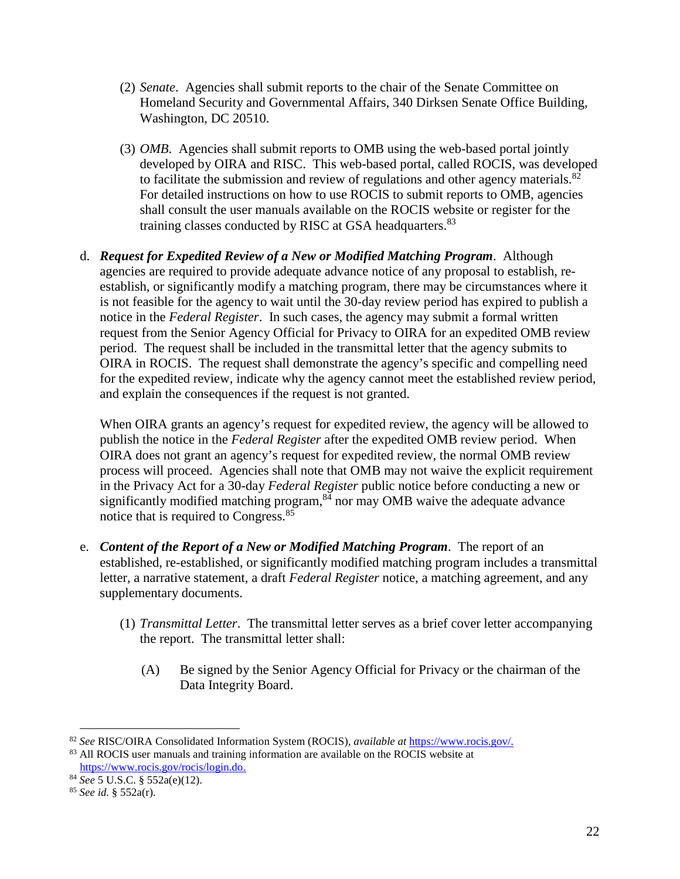- (2) *Senate*. Agencies shall submit reports to the chair of the Senate Committee on Homeland Security and Governmental Affairs, 340 Dirksen Senate Office Building, Washington, DC 20510.
- (3) *OMB*. Agencies shall submit reports to OMB using the web-based portal jointly developed by OIRA and RISC. This web-based portal, called ROCIS, was developed to facilitate the submission and review of regulations and other agency materials. $82$ For detailed instructions on how to use ROCIS to submit reports to OMB, agencies shall consult the user manuals available on the ROCIS website or register for the training classes conducted by RISC at GSA headquarters.<sup>83</sup>
- d. *Request for Expedited Review of a New or Modified Matching Program*. Although agencies are required to provide adequate advance notice of any proposal to establish, reestablish, or significantly modify a matching program, there may be circumstances where it is not feasible for the agency to wait until the 30-day review period has expired to publish a notice in the *Federal Register*. In such cases, the agency may submit a formal written request from the Senior Agency Official for Privacy to OIRA for an expedited OMB review period. The request shall be included in the transmittal letter that the agency submits to OIRA in ROCIS. The request shall demonstrate the agency's specific and compelling need for the expedited review, indicate why the agency cannot meet the established review period, and explain the consequences if the request is not granted.

When OIRA grants an agency's request for expedited review, the agency will be allowed to publish the notice in the *Federal Register* after the expedited OMB review period. When OIRA does not grant an agency's request for expedited review, the normal OMB review process will proceed. Agencies shall note that OMB may not waive the explicit requirement in the Privacy Act for a 30-day *Federal Register* public notice before conducting a new or significantly modified matching program,<sup>84</sup> nor may OMB waive the adequate advance notice that is required to Congress.<sup>85</sup>

- e. *Content of the Report of a New or Modified Matching Program*. The report of an established, re-established, or significantly modified matching program includes a transmittal letter, a narrative statement, a draft *Federal Register* notice, a matching agreement, and any supplementary documents.
	- (1) *Transmittal Letter*. The transmittal letter serves as a brief cover letter accompanying the report. The transmittal letter shall:
		- (A) Be signed by the Senior Agency Official for Privacy or the chairman of the Data Integrity Board.

<sup>&</sup>lt;sup>82</sup> *See* RISC/OIRA Consolidated Information System (ROCIS), *available at* [https://www.rocis.gov/.](https://www.rocis.gov/) <sup>83</sup> All ROCIS user manuals and training information are available on the ROCIS website at

[https://www.rocis.gov/rocis/login.do.](https://www.rocis.gov/rocis/login.do)

<sup>84</sup> *See* 5 U.S.C. § 552a(e)(12).

<sup>85</sup> *See id.* § 552a(r).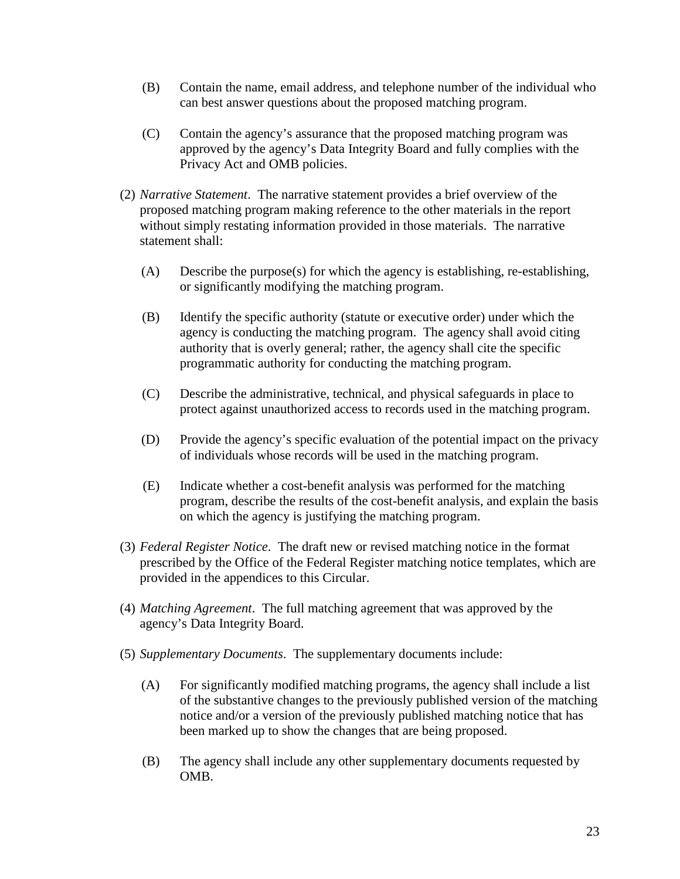- (B) Contain the name, email address, and telephone number of the individual who can best answer questions about the proposed matching program.
- (C) Contain the agency's assurance that the proposed matching program was approved by the agency's Data Integrity Board and fully complies with the Privacy Act and OMB policies.
- (2) *Narrative Statement*. The narrative statement provides a brief overview of the proposed matching program making reference to the other materials in the report without simply restating information provided in those materials. The narrative statement shall:
	- (A) Describe the purpose(s) for which the agency is establishing, re-establishing, or significantly modifying the matching program.
	- (B) Identify the specific authority (statute or executive order) under which the agency is conducting the matching program. The agency shall avoid citing authority that is overly general; rather, the agency shall cite the specific programmatic authority for conducting the matching program.
	- (C) Describe the administrative, technical, and physical safeguards in place to protect against unauthorized access to records used in the matching program.
	- (D) Provide the agency's specific evaluation of the potential impact on the privacy of individuals whose records will be used in the matching program.
	- (E) Indicate whether a cost-benefit analysis was performed for the matching program, describe the results of the cost-benefit analysis, and explain the basis on which the agency is justifying the matching program.
- (3) *Federal Register Notice*. The draft new or revised matching notice in the format prescribed by the Office of the Federal Register matching notice templates, which are provided in the appendices to this Circular.
- (4) *Matching Agreement*. The full matching agreement that was approved by the agency's Data Integrity Board.
- (5) *Supplementary Documents*. The supplementary documents include:
	- (A) For significantly modified matching programs, the agency shall include a list of the substantive changes to the previously published version of the matching notice and/or a version of the previously published matching notice that has been marked up to show the changes that are being proposed.
	- (B) The agency shall include any other supplementary documents requested by OMB.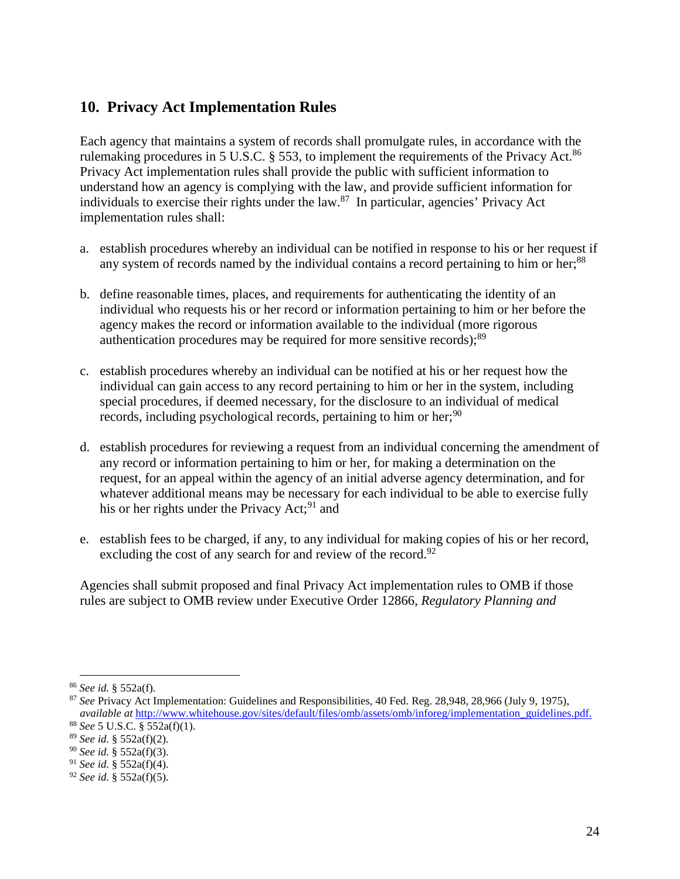### **10. Privacy Act Implementation Rules**

Each agency that maintains a system of records shall promulgate rules, in accordance with the rulemaking procedures in 5 U.S.C.  $\S$  553, to implement the requirements of the Privacy Act.<sup>86</sup> Privacy Act implementation rules shall provide the public with sufficient information to understand how an agency is complying with the law, and provide sufficient information for individuals to exercise their rights under the law.87 In particular, agencies' Privacy Act implementation rules shall:

- a. establish procedures whereby an individual can be notified in response to his or her request if any system of records named by the individual contains a record pertaining to him or her;<sup>88</sup>
- b. define reasonable times, places, and requirements for authenticating the identity of an individual who requests his or her record or information pertaining to him or her before the agency makes the record or information available to the individual (more rigorous authentication procedures may be required for more sensitive records); $^{89}$
- c. establish procedures whereby an individual can be notified at his or her request how the individual can gain access to any record pertaining to him or her in the system, including special procedures, if deemed necessary, for the disclosure to an individual of medical records, including psychological records, pertaining to him or her;  $90$
- d. establish procedures for reviewing a request from an individual concerning the amendment of any record or information pertaining to him or her, for making a determination on the request, for an appeal within the agency of an initial adverse agency determination, and for whatever additional means may be necessary for each individual to be able to exercise fully his or her rights under the Privacy Act;<sup>91</sup> and
- e. establish fees to be charged, if any, to any individual for making copies of his or her record, excluding the cost of any search for and review of the record.<sup>92</sup>

Agencies shall submit proposed and final Privacy Act implementation rules to OMB if those rules are subject to OMB review under Executive Order 12866, *Regulatory Planning and* 

 <sup>86</sup> *See id.* § 552a(f).

<sup>87</sup> *See* Privacy Act Implementation: Guidelines and Responsibilities, 40 Fed. Reg. 28,948, 28,966 (July 9, 1975), *available at* [http://www.whitehouse.gov/sites/default/files/omb/assets/omb/inforeg/implementation\\_guidelines.pdf.](http://www.whitehouse.gov/sites/default/files/omb/assets/omb/inforeg/implementation_guidelines.pdf)

<sup>88</sup> *See* 5 U.S.C. § 552a(f)(1).

<sup>89</sup> *See id.* § 552a(f)(2).

<sup>90</sup> *See id.* § 552a(f)(3).

<sup>91</sup> *See id.* § 552a(f)(4).

<sup>92</sup> *See id.* § 552a(f)(5).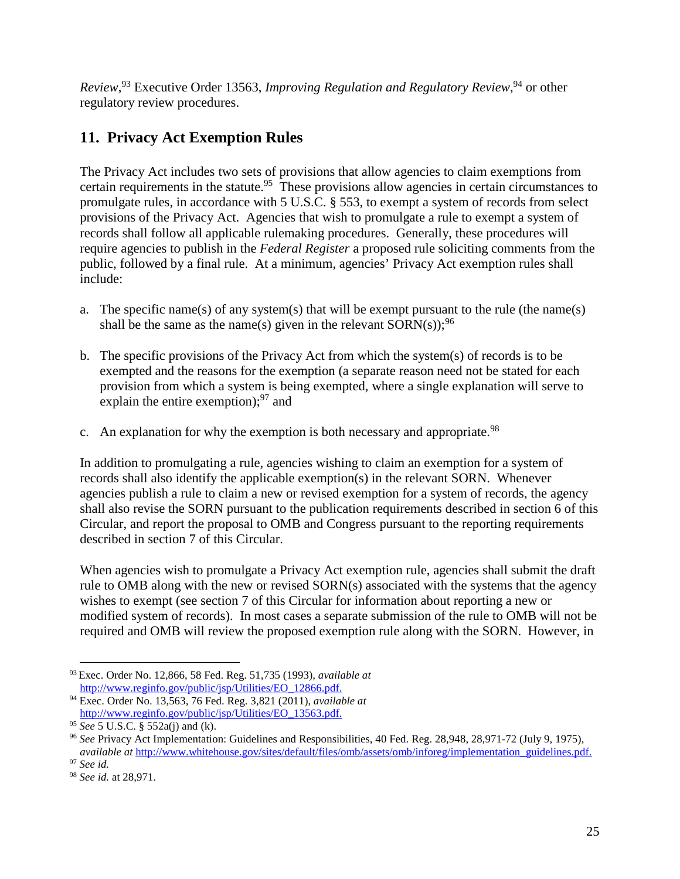*Review*, 93 Executive Order 13563, *Improving Regulation and Regulatory Review*, 94 or other regulatory review procedures.

# **11. Privacy Act Exemption Rules**

The Privacy Act includes two sets of provisions that allow agencies to claim exemptions from certain requirements in the statute.<sup>95</sup> These provisions allow agencies in certain circumstances to promulgate rules, in accordance with 5 U.S.C. § 553, to exempt a system of records from select provisions of the Privacy Act. Agencies that wish to promulgate a rule to exempt a system of records shall follow all applicable rulemaking procedures. Generally, these procedures will require agencies to publish in the *Federal Register* a proposed rule soliciting comments from the public, followed by a final rule. At a minimum, agencies' Privacy Act exemption rules shall include:

- a. The specific name(s) of any system(s) that will be exempt pursuant to the rule (the name(s) shall be the same as the name(s) given in the relevant  $SORN(s)$ ;<sup>96</sup>
- b. The specific provisions of the Privacy Act from which the system(s) of records is to be exempted and the reasons for the exemption (a separate reason need not be stated for each provision from which a system is being exempted, where a single explanation will serve to explain the entire exemption);<sup>97</sup> and
- c. An explanation for why the exemption is both necessary and appropriate.<sup>98</sup>

In addition to promulgating a rule, agencies wishing to claim an exemption for a system of records shall also identify the applicable exemption(s) in the relevant SORN. Whenever agencies publish a rule to claim a new or revised exemption for a system of records, the agency shall also revise the SORN pursuant to the publication requirements described in section 6 of this Circular, and report the proposal to OMB and Congress pursuant to the reporting requirements described in section 7 of this Circular.

When agencies wish to promulgate a Privacy Act exemption rule, agencies shall submit the draft rule to OMB along with the new or revised SORN(s) associated with the systems that the agency wishes to exempt (see section 7 of this Circular for information about reporting a new or modified system of records). In most cases a separate submission of the rule to OMB will not be required and OMB will review the proposed exemption rule along with the SORN. However, in

 <sup>93</sup> Exec. Order No. 12,866, 58 Fed. Reg. 51,735 (1993), *available at*

<sup>&</sup>lt;sup>94</sup> Exec. Order No. 13,563, 76 Fed. Reg. 3,821 (2011), *available at* [http://www.reginfo.gov/public/jsp/Utilities/EO\\_13563.pdf.](http://www.reginfo.gov/public/jsp/Utilities/EO_13563.pdf)

<sup>95</sup> *See* 5 U.S.C. § 552a(j) and (k).

<sup>96</sup> *See* Privacy Act Implementation: Guidelines and Responsibilities, 40 Fed. Reg. 28,948, 28,971-72 (July 9, 1975), *available at* [http://www.whitehouse.gov/sites/default/files/omb/assets/omb/inforeg/implementation\\_guidelines.pdf.](http://www.whitehouse.gov/sites/default/files/omb/assets/omb/inforeg/implementation_guidelines.pdf) <sup>97</sup> *See id.*

<sup>98</sup> *See id.* at 28,971.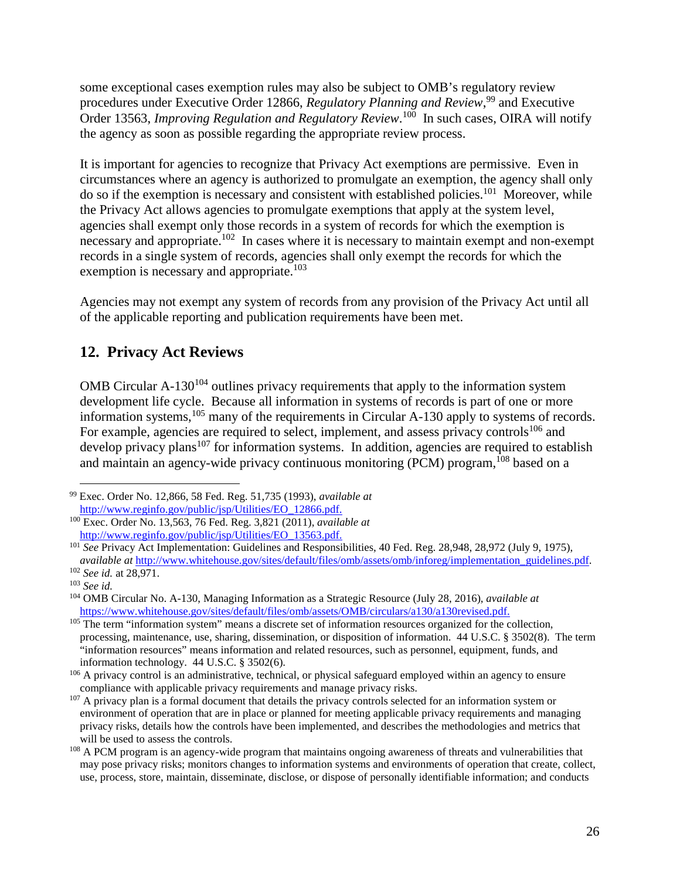some exceptional cases exemption rules may also be subject to OMB's regulatory review procedures under Executive Order 12866, *Regulatory Planning and Review*, <sup>99</sup> and Executive Order 13563, *Improving Regulation and Regulatory Review*.<sup>100</sup> In such cases, OIRA will notify the agency as soon as possible regarding the appropriate review process.

It is important for agencies to recognize that Privacy Act exemptions are permissive. Even in circumstances where an agency is authorized to promulgate an exemption, the agency shall only do so if the exemption is necessary and consistent with established policies.<sup>101</sup> Moreover, while the Privacy Act allows agencies to promulgate exemptions that apply at the system level, agencies shall exempt only those records in a system of records for which the exemption is necessary and appropriate.<sup>102</sup> In cases where it is necessary to maintain exempt and non-exempt records in a single system of records, agencies shall only exempt the records for which the exemption is necessary and appropriate.<sup>103</sup>

Agencies may not exempt any system of records from any provision of the Privacy Act until all of the applicable reporting and publication requirements have been met.

### **12. Privacy Act Reviews**

OMB Circular  $A-130^{104}$  outlines privacy requirements that apply to the information system development life cycle. Because all information in systems of records is part of one or more information systems,<sup>105</sup> many of the requirements in Circular A-130 apply to systems of records. For example, agencies are required to select, implement, and assess privacy controls<sup>106</sup> and develop privacy plans<sup>107</sup> for information systems. In addition, agencies are required to establish and maintain an agency-wide privacy continuous monitoring (PCM) program,<sup>108</sup> based on a

 <sup>99</sup> Exec. Order No. 12,866, 58 Fed. Reg. 51,735 (1993), *available at*

<sup>&</sup>lt;sup>100</sup> Exec. Order No. 13,563, 76 Fed. Reg. 3,821 (2011), *available at* [http://www.reginfo.gov/public/jsp/Utilities/EO\\_13563.pdf.](http://www.reginfo.gov/public/jsp/Utilities/EO_13563.pdf)

<sup>101</sup> *See* Privacy Act Implementation: Guidelines and Responsibilities, 40 Fed. Reg. 28,948, 28,972 (July 9, 1975), *available at* [http://www.whitehouse.gov/sites/default/files/omb/assets/omb/inforeg/implementation\\_guidelines.pdf.](http://www.whitehouse.gov/sites/default/files/omb/assets/omb/inforeg/implementation_guidelines.pdf) 102 *See id.* at 28,971.

<sup>103</sup> *See id.*

<sup>104</sup> OMB Circular No. A-130, Managing Information as a Strategic Resource (July 28, 2016), *available at* [https://www.whitehouse.gov/sites/default/files/omb/assets/OMB/circulars/a130/a130revised.pdf.](https://www.whitehouse.gov/sites/default/files/omb/assets/OMB/circulars/a130/a130revised.pdf)

<sup>&</sup>lt;sup>105</sup> The term "information system" means a discrete set of information resources organized for the collection, processing, maintenance, use, sharing, dissemination, or disposition of information. 44 U.S.C. § 3502(8). The term "information resources" means information and related resources, such as personnel, equipment, funds, and information technology. 44 U.S.C. § 3502(6).

<sup>&</sup>lt;sup>106</sup> A privacy control is an administrative, technical, or physical safeguard employed within an agency to ensure compliance with applicable privacy requirements and manage privacy risks.

<sup>&</sup>lt;sup>107</sup> A privacy plan is a formal document that details the privacy controls selected for an information system or environment of operation that are in place or planned for meeting applicable privacy requirements and managing privacy risks, details how the controls have been implemented, and describes the methodologies and metrics that will be used to assess the controls.

<sup>&</sup>lt;sup>108</sup> A PCM program is an agency-wide program that maintains ongoing awareness of threats and vulnerabilities that may pose privacy risks; monitors changes to information systems and environments of operation that create, collect, use, process, store, maintain, disseminate, disclose, or dispose of personally identifiable information; and conducts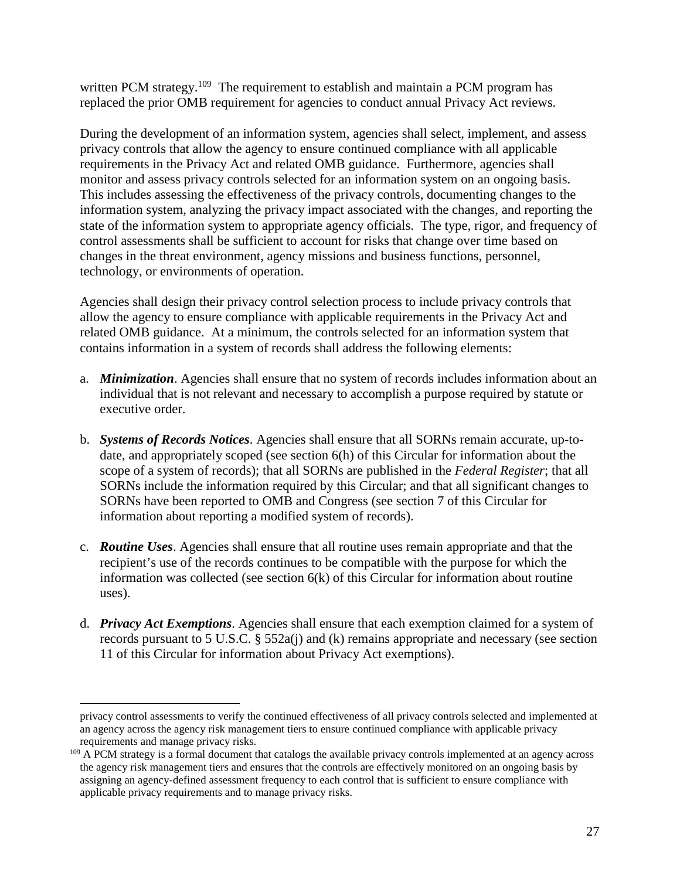written PCM strategy.<sup>109</sup> The requirement to establish and maintain a PCM program has replaced the prior OMB requirement for agencies to conduct annual Privacy Act reviews.

During the development of an information system, agencies shall select, implement, and assess privacy controls that allow the agency to ensure continued compliance with all applicable requirements in the Privacy Act and related OMB guidance. Furthermore, agencies shall monitor and assess privacy controls selected for an information system on an ongoing basis. This includes assessing the effectiveness of the privacy controls, documenting changes to the information system, analyzing the privacy impact associated with the changes, and reporting the state of the information system to appropriate agency officials. The type, rigor, and frequency of control assessments shall be sufficient to account for risks that change over time based on changes in the threat environment, agency missions and business functions, personnel, technology, or environments of operation.

Agencies shall design their privacy control selection process to include privacy controls that allow the agency to ensure compliance with applicable requirements in the Privacy Act and related OMB guidance. At a minimum, the controls selected for an information system that contains information in a system of records shall address the following elements:

- a. *Minimization*. Agencies shall ensure that no system of records includes information about an individual that is not relevant and necessary to accomplish a purpose required by statute or executive order.
- b. *Systems of Records Notices*. Agencies shall ensure that all SORNs remain accurate, up-todate, and appropriately scoped (see section 6(h) of this Circular for information about the scope of a system of records); that all SORNs are published in the *Federal Register*; that all SORNs include the information required by this Circular; and that all significant changes to SORNs have been reported to OMB and Congress (see section 7 of this Circular for information about reporting a modified system of records).
- c. *Routine Uses*. Agencies shall ensure that all routine uses remain appropriate and that the recipient's use of the records continues to be compatible with the purpose for which the information was collected (see section 6(k) of this Circular for information about routine uses).
- d. *Privacy Act Exemptions*. Agencies shall ensure that each exemption claimed for a system of records pursuant to 5 U.S.C. § 552a(j) and (k) remains appropriate and necessary (see section 11 of this Circular for information about Privacy Act exemptions).

 $\overline{a}$ 

privacy control assessments to verify the continued effectiveness of all privacy controls selected and implemented at an agency across the agency risk management tiers to ensure continued compliance with applicable privacy requirements and manage privacy risks.

<sup>&</sup>lt;sup>109</sup> A PCM strategy is a formal document that catalogs the available privacy controls implemented at an agency across the agency risk management tiers and ensures that the controls are effectively monitored on an ongoing basis by assigning an agency-defined assessment frequency to each control that is sufficient to ensure compliance with applicable privacy requirements and to manage privacy risks.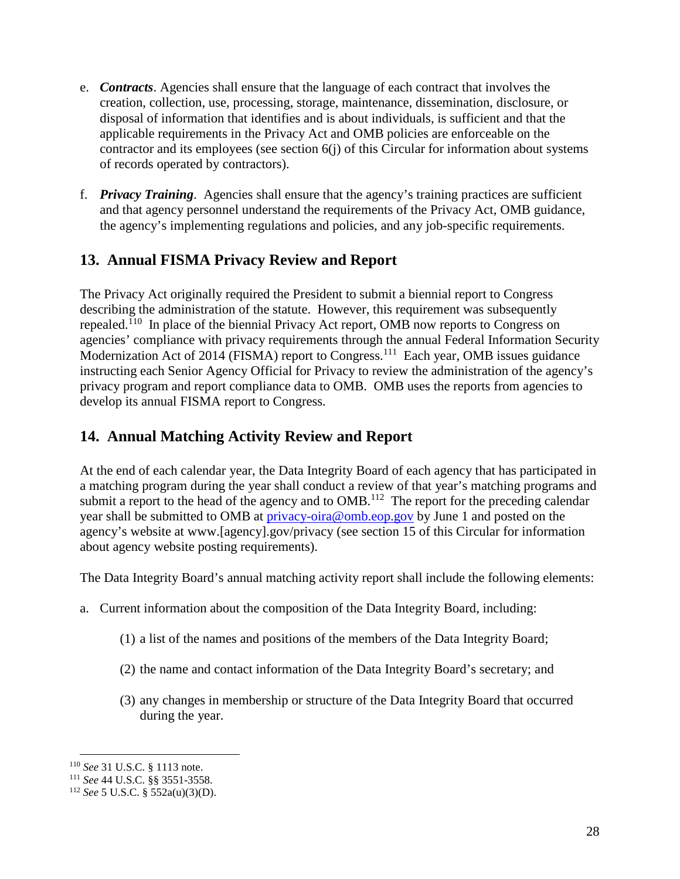- e. *Contracts*. Agencies shall ensure that the language of each contract that involves the creation, collection, use, processing, storage, maintenance, dissemination, disclosure, or disposal of information that identifies and is about individuals, is sufficient and that the applicable requirements in the Privacy Act and OMB policies are enforceable on the contractor and its employees (see section 6(j) of this Circular for information about systems of records operated by contractors).
- f. *Privacy Training*. Agencies shall ensure that the agency's training practices are sufficient and that agency personnel understand the requirements of the Privacy Act, OMB guidance, the agency's implementing regulations and policies, and any job-specific requirements.

## **13. Annual FISMA Privacy Review and Report**

The Privacy Act originally required the President to submit a biennial report to Congress describing the administration of the statute. However, this requirement was subsequently repealed.<sup>110</sup> In place of the biennial Privacy Act report, OMB now reports to Congress on agencies' compliance with privacy requirements through the annual Federal Information Security Modernization Act of 2014 (FISMA) report to Congress.<sup>111</sup> Each year, OMB issues guidance instructing each Senior Agency Official for Privacy to review the administration of the agency's privacy program and report compliance data to OMB. OMB uses the reports from agencies to develop its annual FISMA report to Congress.

# **14. Annual Matching Activity Review and Report**

At the end of each calendar year, the Data Integrity Board of each agency that has participated in a matching program during the year shall conduct a review of that year's matching programs and submit a report to the head of the agency and to OMB.<sup>112</sup> The report for the preceding calendar year shall be submitted to OMB at [privacy-oira@omb.eop.gov](mailto:privacy-oira@omb.eop.gov) by June 1 and posted on the agency's website at www.[agency].gov/privacy (see section 15 of this Circular for information about agency website posting requirements).

The Data Integrity Board's annual matching activity report shall include the following elements:

- a. Current information about the composition of the Data Integrity Board, including:
	- (1) a list of the names and positions of the members of the Data Integrity Board;
	- (2) the name and contact information of the Data Integrity Board's secretary; and
	- (3) any changes in membership or structure of the Data Integrity Board that occurred during the year.

 <sup>110</sup> *See* 31 U.S.C. § 1113 note.

<sup>111</sup> *See* 44 U.S.C. §§ 3551-3558.

<sup>112</sup> *See* 5 U.S.C. § 552a(u)(3)(D).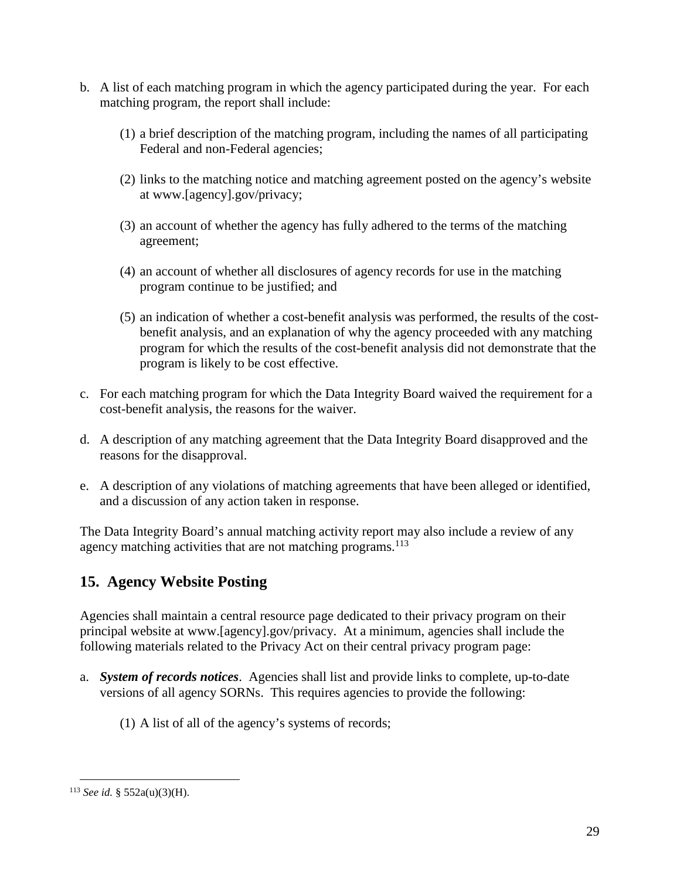- b. A list of each matching program in which the agency participated during the year. For each matching program, the report shall include:
	- (1) a brief description of the matching program, including the names of all participating Federal and non-Federal agencies;
	- (2) links to the matching notice and matching agreement posted on the agency's website at www.[agency].gov/privacy;
	- (3) an account of whether the agency has fully adhered to the terms of the matching agreement;
	- (4) an account of whether all disclosures of agency records for use in the matching program continue to be justified; and
	- (5) an indication of whether a cost-benefit analysis was performed, the results of the costbenefit analysis, and an explanation of why the agency proceeded with any matching program for which the results of the cost-benefit analysis did not demonstrate that the program is likely to be cost effective.
- c. For each matching program for which the Data Integrity Board waived the requirement for a cost-benefit analysis, the reasons for the waiver.
- d. A description of any matching agreement that the Data Integrity Board disapproved and the reasons for the disapproval.
- e. A description of any violations of matching agreements that have been alleged or identified, and a discussion of any action taken in response.

The Data Integrity Board's annual matching activity report may also include a review of any agency matching activities that are not matching programs. $113$ 

# **15. Agency Website Posting**

Agencies shall maintain a central resource page dedicated to their privacy program on their principal website at www.[agency].gov/privacy. At a minimum, agencies shall include the following materials related to the Privacy Act on their central privacy program page:

- a. *System of records notices*. Agencies shall list and provide links to complete, up-to-date versions of all agency SORNs. This requires agencies to provide the following:
	- (1) A list of all of the agency's systems of records;

 <sup>113</sup> *See id.* § 552a(u)(3)(H).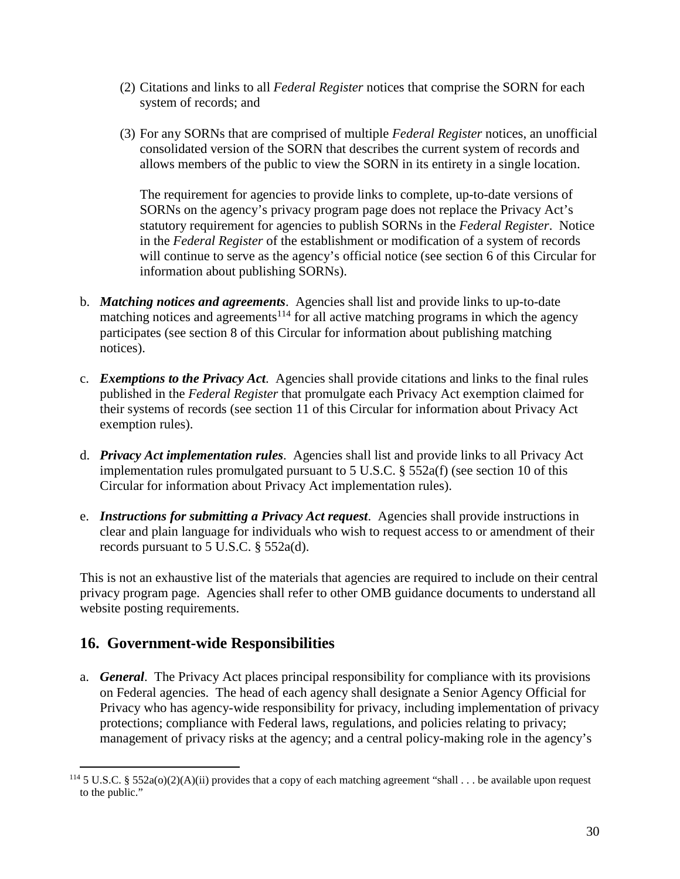- (2) Citations and links to all *Federal Register* notices that comprise the SORN for each system of records; and
- (3) For any SORNs that are comprised of multiple *Federal Register* notices, an unofficial consolidated version of the SORN that describes the current system of records and allows members of the public to view the SORN in its entirety in a single location.

The requirement for agencies to provide links to complete, up-to-date versions of SORNs on the agency's privacy program page does not replace the Privacy Act's statutory requirement for agencies to publish SORNs in the *Federal Register*. Notice in the *Federal Register* of the establishment or modification of a system of records will continue to serve as the agency's official notice (see section 6 of this Circular for information about publishing SORNs).

- b. *Matching notices and agreements*. Agencies shall list and provide links to up-to-date matching notices and agreements<sup>114</sup> for all active matching programs in which the agency participates (see section 8 of this Circular for information about publishing matching notices).
- c. *Exemptions to the Privacy Act*. Agencies shall provide citations and links to the final rules published in the *Federal Register* that promulgate each Privacy Act exemption claimed for their systems of records (see section 11 of this Circular for information about Privacy Act exemption rules).
- d. *Privacy Act implementation rules*. Agencies shall list and provide links to all Privacy Act implementation rules promulgated pursuant to 5 U.S.C. § 552a(f) (see section 10 of this Circular for information about Privacy Act implementation rules).
- e. *Instructions for submitting a Privacy Act request*. Agencies shall provide instructions in clear and plain language for individuals who wish to request access to or amendment of their records pursuant to 5 U.S.C. § 552a(d).

This is not an exhaustive list of the materials that agencies are required to include on their central privacy program page. Agencies shall refer to other OMB guidance documents to understand all website posting requirements.

### **16. Government-wide Responsibilities**

a. *General*.The Privacy Act places principal responsibility for compliance with its provisions on Federal agencies. The head of each agency shall designate a Senior Agency Official for Privacy who has agency-wide responsibility for privacy, including implementation of privacy protections; compliance with Federal laws, regulations, and policies relating to privacy; management of privacy risks at the agency; and a central policy-making role in the agency's

<sup>&</sup>lt;sup>114</sup> 5 U.S.C. § 552a(o)(2)(A)(ii) provides that a copy of each matching agreement "shall . . . be available upon request to the public."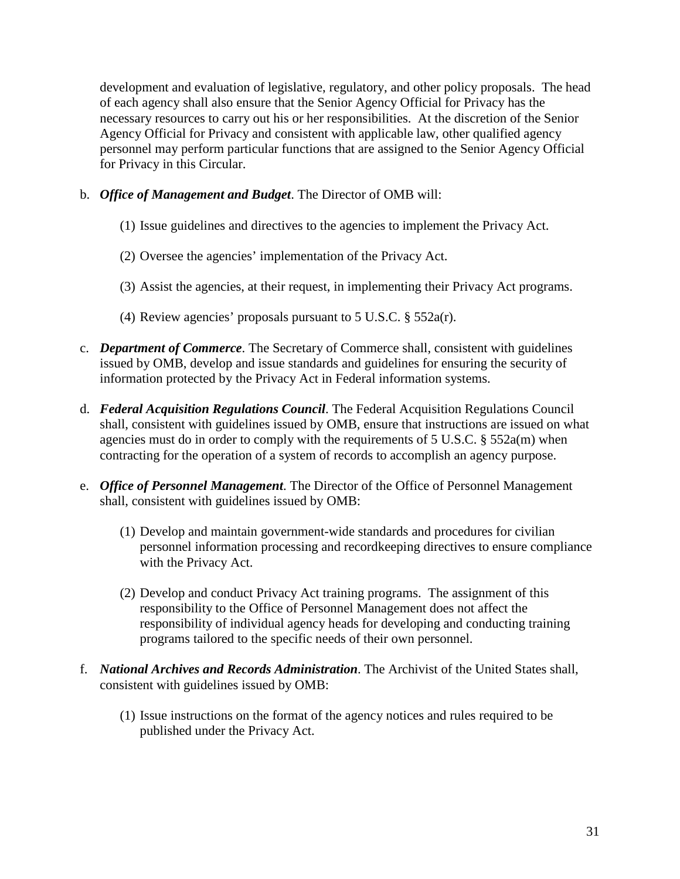development and evaluation of legislative, regulatory, and other policy proposals. The head of each agency shall also ensure that the Senior Agency Official for Privacy has the necessary resources to carry out his or her responsibilities. At the discretion of the Senior Agency Official for Privacy and consistent with applicable law, other qualified agency personnel may perform particular functions that are assigned to the Senior Agency Official for Privacy in this Circular.

- b. *Office of Management and Budget*. The Director of OMB will:
	- (1) Issue guidelines and directives to the agencies to implement the Privacy Act.
	- (2) Oversee the agencies' implementation of the Privacy Act.
	- (3) Assist the agencies, at their request, in implementing their Privacy Act programs.
	- (4) Review agencies' proposals pursuant to 5 U.S.C. § 552a(r).
- c. *Department of Commerce*. The Secretary of Commerce shall, consistent with guidelines issued by OMB, develop and issue standards and guidelines for ensuring the security of information protected by the Privacy Act in Federal information systems.
- d. *Federal Acquisition Regulations Council*. The Federal Acquisition Regulations Council shall, consistent with guidelines issued by OMB, ensure that instructions are issued on what agencies must do in order to comply with the requirements of 5 U.S.C. § 552a(m) when contracting for the operation of a system of records to accomplish an agency purpose.
- e. *Office of Personnel Management*. The Director of the Office of Personnel Management shall, consistent with guidelines issued by OMB:
	- (1) Develop and maintain government-wide standards and procedures for civilian personnel information processing and recordkeeping directives to ensure compliance with the Privacy Act.
	- (2) Develop and conduct Privacy Act training programs. The assignment of this responsibility to the Office of Personnel Management does not affect the responsibility of individual agency heads for developing and conducting training programs tailored to the specific needs of their own personnel.
- f. *National Archives and Records Administration*. The Archivist of the United States shall, consistent with guidelines issued by OMB:
	- (1) Issue instructions on the format of the agency notices and rules required to be published under the Privacy Act.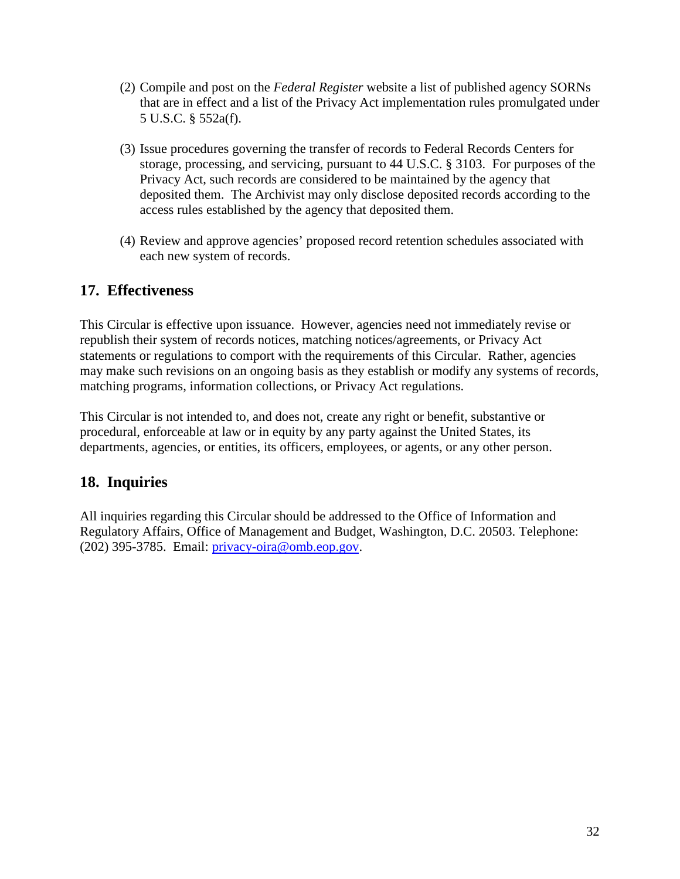- (2) Compile and post on the *Federal Register* website a list of published agency SORNs that are in effect and a list of the Privacy Act implementation rules promulgated under 5 U.S.C. § 552a(f).
- (3) Issue procedures governing the transfer of records to Federal Records Centers for storage, processing, and servicing, pursuant to 44 U.S.C. § 3103. For purposes of the Privacy Act, such records are considered to be maintained by the agency that deposited them. The Archivist may only disclose deposited records according to the access rules established by the agency that deposited them.
- (4) Review and approve agencies' proposed record retention schedules associated with each new system of records.

### **17. Effectiveness**

This Circular is effective upon issuance. However, agencies need not immediately revise or republish their system of records notices, matching notices/agreements, or Privacy Act statements or regulations to comport with the requirements of this Circular. Rather, agencies may make such revisions on an ongoing basis as they establish or modify any systems of records, matching programs, information collections, or Privacy Act regulations.

This Circular is not intended to, and does not, create any right or benefit, substantive or procedural, enforceable at law or in equity by any party against the United States, its departments, agencies, or entities, its officers, employees, or agents, or any other person.

### **18. Inquiries**

All inquiries regarding this Circular should be addressed to the Office of Information and Regulatory Affairs, Office of Management and Budget, Washington, D.C. 20503. Telephone: (202) 395-3785. Email: [privacy-oira@omb.eop.gov.](mailto:privacy-oira@omb.eop.gov)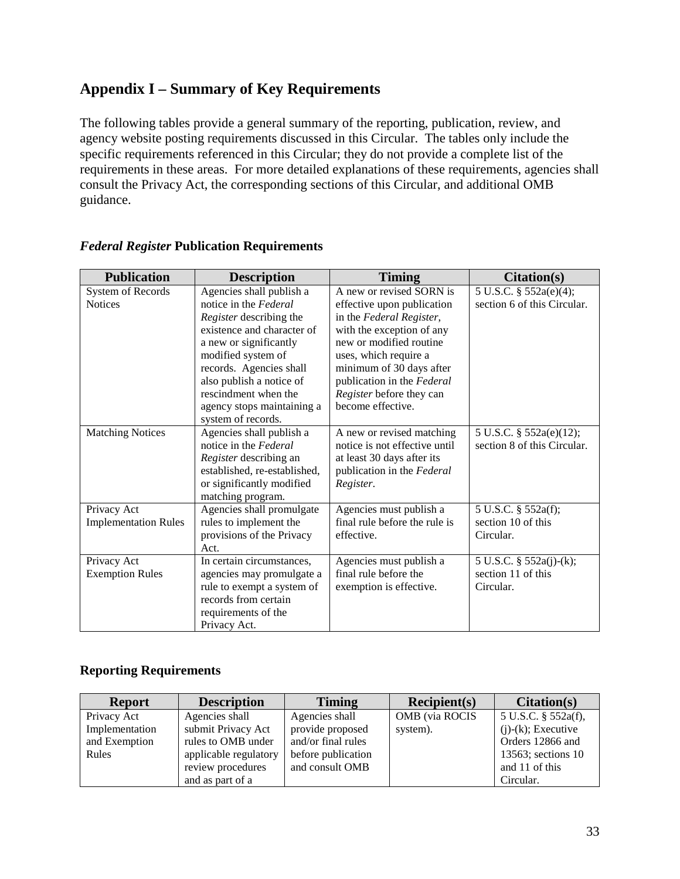# **Appendix I – Summary of Key Requirements**

The following tables provide a general summary of the reporting, publication, review, and agency website posting requirements discussed in this Circular. The tables only include the specific requirements referenced in this Circular; they do not provide a complete list of the requirements in these areas. For more detailed explanations of these requirements, agencies shall consult the Privacy Act, the corresponding sections of this Circular, and additional OMB guidance.

| <b>Publication</b>          | <b>Description</b>           | <b>Timing</b>                 | <b>Citation(s)</b>          |
|-----------------------------|------------------------------|-------------------------------|-----------------------------|
| System of Records           | Agencies shall publish a     | A new or revised SORN is      | 5 U.S.C. § 552a(e)(4);      |
| <b>Notices</b>              | notice in the Federal        | effective upon publication    | section 6 of this Circular. |
|                             | Register describing the      | in the Federal Register,      |                             |
|                             | existence and character of   | with the exception of any     |                             |
|                             | a new or significantly       | new or modified routine       |                             |
|                             | modified system of           | uses, which require a         |                             |
|                             | records. Agencies shall      | minimum of 30 days after      |                             |
|                             | also publish a notice of     | publication in the Federal    |                             |
|                             | rescindment when the         | Register before they can      |                             |
|                             | agency stops maintaining a   | become effective.             |                             |
|                             | system of records.           |                               |                             |
| <b>Matching Notices</b>     | Agencies shall publish a     | A new or revised matching     | 5 U.S.C. § 552a(e)(12);     |
|                             | notice in the Federal        | notice is not effective until | section 8 of this Circular. |
|                             | Register describing an       | at least 30 days after its    |                             |
|                             | established, re-established, | publication in the Federal    |                             |
|                             | or significantly modified    | Register.                     |                             |
|                             | matching program.            |                               |                             |
| Privacy Act                 | Agencies shall promulgate    | Agencies must publish a       | 5 U.S.C. § 552a(f);         |
| <b>Implementation Rules</b> | rules to implement the       | final rule before the rule is | section 10 of this          |
|                             | provisions of the Privacy    | effective.                    | Circular.                   |
|                             | Act.                         |                               |                             |
| Privacy Act                 | In certain circumstances,    | Agencies must publish a       | 5 U.S.C. § 552a(j)-(k);     |
| <b>Exemption Rules</b>      | agencies may promulgate a    | final rule before the         | section 11 of this          |
|                             | rule to exempt a system of   | exemption is effective.       | Circular.                   |
|                             | records from certain         |                               |                             |
|                             | requirements of the          |                               |                             |
|                             | Privacy Act.                 |                               |                             |

#### *Federal Register* **Publication Requirements**

### **Reporting Requirements**

| <b>Report</b>  | <b>Description</b>    | <b>Timing</b>      | Recipient(s)          | Citation(s)           |
|----------------|-----------------------|--------------------|-----------------------|-----------------------|
| Privacy Act    | Agencies shall        | Agencies shall     | <b>OMB</b> (via ROCIS | 5 U.S.C. § 552a(f),   |
| Implementation | submit Privacy Act    | provide proposed   | system).              | $(i)-(k)$ ; Executive |
| and Exemption  | rules to OMB under    | and/or final rules |                       | Orders 12866 and      |
| Rules          | applicable regulatory | before publication |                       | 13563; sections 10    |
|                | review procedures     | and consult OMB    |                       | and 11 of this        |
|                | and as part of a      |                    |                       | Circular.             |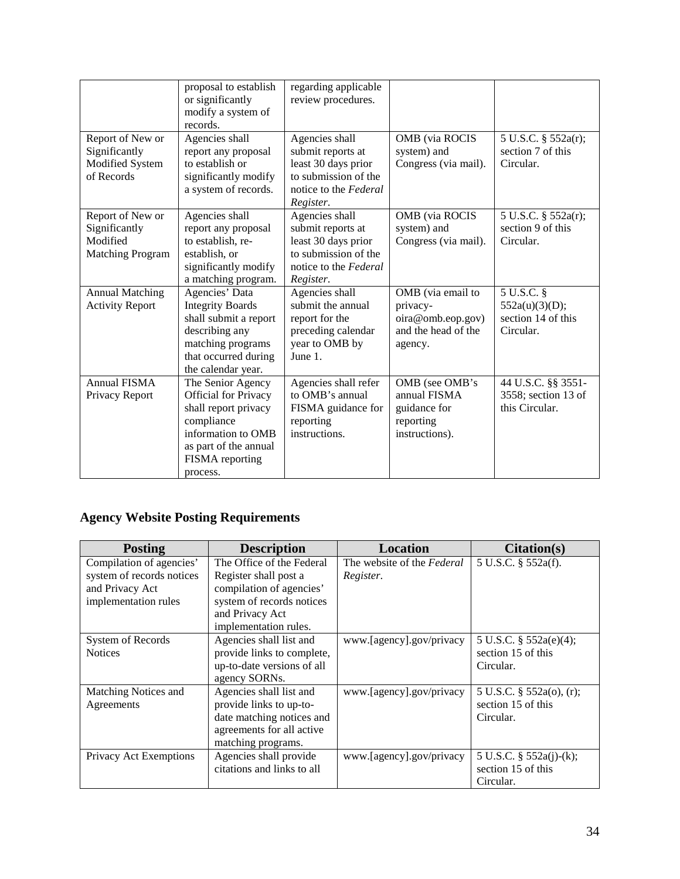|                                                                          | proposal to establish<br>or significantly<br>modify a system of<br>records.                                                                                          | regarding applicable<br>review procedures.                                                                               |                                                                                      |                                                                 |
|--------------------------------------------------------------------------|----------------------------------------------------------------------------------------------------------------------------------------------------------------------|--------------------------------------------------------------------------------------------------------------------------|--------------------------------------------------------------------------------------|-----------------------------------------------------------------|
| Report of New or<br>Significantly<br>Modified System<br>of Records       | Agencies shall<br>report any proposal<br>to establish or<br>significantly modify<br>a system of records.                                                             | Agencies shall<br>submit reports at<br>least 30 days prior<br>to submission of the<br>notice to the Federal<br>Register. | OMB (via ROCIS<br>system) and<br>Congress (via mail).                                | 5 U.S.C. § 552a(r);<br>section 7 of this<br>Circular.           |
| Report of New or<br>Significantly<br>Modified<br><b>Matching Program</b> | Agencies shall<br>report any proposal<br>to establish, re-<br>establish, or<br>significantly modify<br>a matching program.                                           | Agencies shall<br>submit reports at<br>least 30 days prior<br>to submission of the<br>notice to the Federal<br>Register. | OMB (via ROCIS<br>system) and<br>Congress (via mail).                                | 5 U.S.C. § 552a(r);<br>section 9 of this<br>Circular.           |
| <b>Annual Matching</b><br><b>Activity Report</b>                         | Agencies' Data<br><b>Integrity Boards</b><br>shall submit a report<br>describing any<br>matching programs<br>that occurred during<br>the calendar year.              | Agencies shall<br>submit the annual<br>report for the<br>preceding calendar<br>year to OMB by<br>June 1.                 | OMB (via email to<br>privacy-<br>oira@omb.eop.gov)<br>and the head of the<br>agency. | 5 U.S.C. §<br>552a(u)(3)(D);<br>section 14 of this<br>Circular. |
| <b>Annual FISMA</b><br>Privacy Report                                    | The Senior Agency<br><b>Official</b> for Privacy<br>shall report privacy<br>compliance<br>information to OMB<br>as part of the annual<br>FISMA reporting<br>process. | Agencies shall refer<br>to OMB's annual<br>FISMA guidance for<br>reporting<br>instructions.                              | OMB (see OMB's<br>annual FISMA<br>guidance for<br>reporting<br>instructions).        | 44 U.S.C. §§ 3551-<br>3558; section 13 of<br>this Circular.     |

# **Agency Website Posting Requirements**

| <b>Posting</b>            | <b>Description</b>         | Location                   | <b>Citation(s)</b>         |
|---------------------------|----------------------------|----------------------------|----------------------------|
| Compilation of agencies'  | The Office of the Federal  | The website of the Federal | 5 U.S.C. § 552a(f).        |
| system of records notices | Register shall post a      | Register.                  |                            |
| and Privacy Act           | compilation of agencies'   |                            |                            |
| implementation rules      | system of records notices  |                            |                            |
|                           | and Privacy Act            |                            |                            |
|                           | implementation rules.      |                            |                            |
| System of Records         | Agencies shall list and    | www.[agency].gov/privacy   | 5 U.S.C. $\S$ 552a(e)(4);  |
| <b>Notices</b>            | provide links to complete, |                            | section 15 of this         |
|                           | up-to-date versions of all |                            | Circular.                  |
|                           | agency SORNs.              |                            |                            |
| Matching Notices and      | Agencies shall list and    | www.[agency].gov/privacy   | 5 U.S.C. § 552a(o), (r);   |
| Agreements                | provide links to up-to-    |                            | section 15 of this         |
|                           | date matching notices and  |                            | Circular.                  |
|                           | agreements for all active  |                            |                            |
|                           | matching programs.         |                            |                            |
| Privacy Act Exemptions    | Agencies shall provide     | www.[agency].gov/privacy   | 5 U.S.C. $\S$ 552a(j)-(k); |
|                           | citations and links to all |                            | section 15 of this         |
|                           |                            |                            | Circular.                  |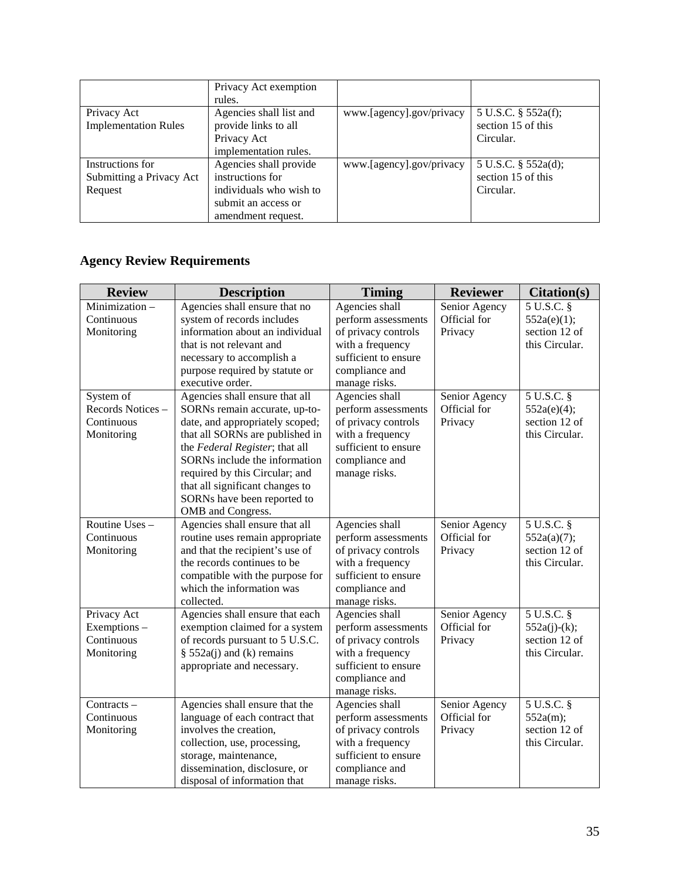|                             | Privacy Act exemption   |                          |                     |
|-----------------------------|-------------------------|--------------------------|---------------------|
|                             | rules.                  |                          |                     |
| Privacy Act                 | Agencies shall list and | www.[agency].gov/privacy | 5 U.S.C. § 552a(f); |
| <b>Implementation Rules</b> | provide links to all    |                          | section 15 of this  |
|                             | Privacy Act             |                          | Circular.           |
|                             | implementation rules.   |                          |                     |
| Instructions for            | Agencies shall provide  | www.[agency].gov/privacy | 5 U.S.C. § 552a(d); |
| Submitting a Privacy Act    | instructions for        |                          | section 15 of this  |
| Request                     | individuals who wish to |                          | Circular.           |
|                             | submit an access or     |                          |                     |
|                             | amendment request.      |                          |                     |

# **Agency Review Requirements**

| <b>Review</b>    | <b>Description</b>                                     | <b>Timing</b>                            | <b>Reviewer</b> | Citation(s)     |
|------------------|--------------------------------------------------------|------------------------------------------|-----------------|-----------------|
| Minimization-    | Agencies shall ensure that no                          | Agencies shall                           | Senior Agency   | $5$ U.S.C. $\S$ |
| Continuous       | system of records includes                             | perform assessments                      | Official for    | 552a(e)(1);     |
| Monitoring       | information about an individual                        | of privacy controls                      | Privacy         | section 12 of   |
|                  | that is not relevant and                               | with a frequency                         |                 | this Circular.  |
|                  | necessary to accomplish a                              | sufficient to ensure                     |                 |                 |
|                  | purpose required by statute or                         | compliance and                           |                 |                 |
|                  | executive order.                                       | manage risks.                            |                 |                 |
| System of        | Agencies shall ensure that all                         | Agencies shall                           | Senior Agency   | 5 U.S.C. §      |
| Records Notices- | SORNs remain accurate, up-to-                          | perform assessments                      | Official for    | 552a(e)(4);     |
| Continuous       | date, and appropriately scoped;                        | of privacy controls                      | Privacy         | section 12 of   |
| Monitoring       | that all SORNs are published in                        | with a frequency                         |                 | this Circular.  |
|                  | the Federal Register; that all                         | sufficient to ensure                     |                 |                 |
|                  | SORNs include the information                          | compliance and                           |                 |                 |
|                  | required by this Circular; and                         | manage risks.                            |                 |                 |
|                  | that all significant changes to                        |                                          |                 |                 |
|                  | SORNs have been reported to                            |                                          |                 |                 |
|                  | OMB and Congress.                                      |                                          |                 |                 |
| Routine Uses -   | Agencies shall ensure that all                         | Agencies shall                           | Senior Agency   | 5 U.S.C. §      |
| Continuous       | routine uses remain appropriate                        | perform assessments                      | Official for    | 552a(a)(7);     |
| Monitoring       | and that the recipient's use of                        | of privacy controls                      | Privacy         | section 12 of   |
|                  | the records continues to be                            | with a frequency                         |                 | this Circular.  |
|                  | compatible with the purpose for                        | sufficient to ensure                     |                 |                 |
|                  | which the information was                              | compliance and                           |                 |                 |
|                  | collected.                                             | manage risks.                            |                 |                 |
| Privacy Act      | Agencies shall ensure that each                        | Agencies shall                           | Senior Agency   | 5 U.S.C. §      |
| Exemptions -     | exemption claimed for a system                         | perform assessments                      | Official for    | $552a(j)-(k);$  |
| Continuous       | of records pursuant to 5 U.S.C.                        | of privacy controls                      | Privacy         | section 12 of   |
| Monitoring       | § $552a(j)$ and (k) remains                            | with a frequency                         |                 | this Circular.  |
|                  | appropriate and necessary.                             | sufficient to ensure                     |                 |                 |
|                  |                                                        | compliance and                           |                 |                 |
|                  |                                                        | manage risks.                            |                 |                 |
| Contracts-       | Agencies shall ensure that the                         | Agencies shall                           | Senior Agency   | 5 U.S.C. §      |
| Continuous       | language of each contract that                         | perform assessments                      | Official for    | 552a(m);        |
| Monitoring       | involves the creation,                                 | of privacy controls                      | Privacy         | section 12 of   |
|                  | collection, use, processing,                           | with a frequency<br>sufficient to ensure |                 | this Circular.  |
|                  | storage, maintenance,<br>dissemination, disclosure, or | compliance and                           |                 |                 |
|                  |                                                        |                                          |                 |                 |
|                  | disposal of information that                           | manage risks.                            |                 |                 |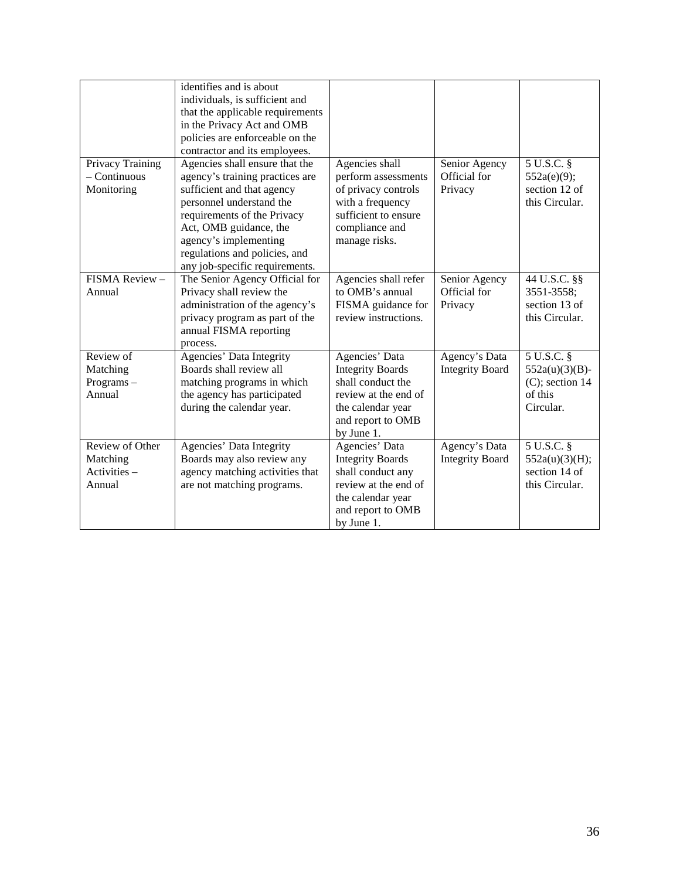|                  | identifies and is about          |                         |                        |                    |
|------------------|----------------------------------|-------------------------|------------------------|--------------------|
|                  | individuals, is sufficient and   |                         |                        |                    |
|                  | that the applicable requirements |                         |                        |                    |
|                  | in the Privacy Act and OMB       |                         |                        |                    |
|                  |                                  |                         |                        |                    |
|                  | policies are enforceable on the  |                         |                        |                    |
|                  | contractor and its employees.    |                         |                        |                    |
| Privacy Training | Agencies shall ensure that the   | Agencies shall          | Senior Agency          | 5 U.S.C. §         |
| $-$ Continuous   | agency's training practices are  | perform assessments     | Official for           | 552a(e)(9);        |
| Monitoring       | sufficient and that agency       | of privacy controls     | Privacy                | section 12 of      |
|                  | personnel understand the         | with a frequency        |                        | this Circular.     |
|                  | requirements of the Privacy      | sufficient to ensure    |                        |                    |
|                  | Act, OMB guidance, the           | compliance and          |                        |                    |
|                  | agency's implementing            | manage risks.           |                        |                    |
|                  | regulations and policies, and    |                         |                        |                    |
|                  | any job-specific requirements.   |                         |                        |                    |
| FISMA Review -   | The Senior Agency Official for   | Agencies shall refer    | Senior Agency          | 44 U.S.C. §§       |
| Annual           | Privacy shall review the         | to OMB's annual         | Official for           | 3551-3558;         |
|                  | administration of the agency's   | FISMA guidance for      | Privacy                | section 13 of      |
|                  | privacy program as part of the   | review instructions.    |                        | this Circular.     |
|                  | annual FISMA reporting           |                         |                        |                    |
|                  | process.                         |                         |                        |                    |
| Review of        | Agencies' Data Integrity         | Agencies' Data          | Agency's Data          | 5 U.S.C. §         |
| Matching         | Boards shall review all          | <b>Integrity Boards</b> | <b>Integrity Board</b> | $552a(u)(3)(B)$ -  |
| Programs-        | matching programs in which       | shall conduct the       |                        | $(C)$ ; section 14 |
| Annual           | the agency has participated      | review at the end of    |                        | of this            |
|                  | during the calendar year.        | the calendar year       |                        | Circular.          |
|                  |                                  | and report to OMB       |                        |                    |
|                  |                                  | by June 1.              |                        |                    |
| Review of Other  | Agencies' Data Integrity         | Agencies' Data          | Agency's Data          | $5$ U.S.C. $\S$    |
| Matching         | Boards may also review any       | <b>Integrity Boards</b> | <b>Integrity Board</b> | 552a(u)(3)(H);     |
| $Activities -$   | agency matching activities that  | shall conduct any       |                        | section 14 of      |
| Annual           | are not matching programs.       | review at the end of    |                        | this Circular.     |
|                  |                                  | the calendar year       |                        |                    |
|                  |                                  |                         |                        |                    |
|                  |                                  | and report to OMB       |                        |                    |
|                  |                                  | by June 1.              |                        |                    |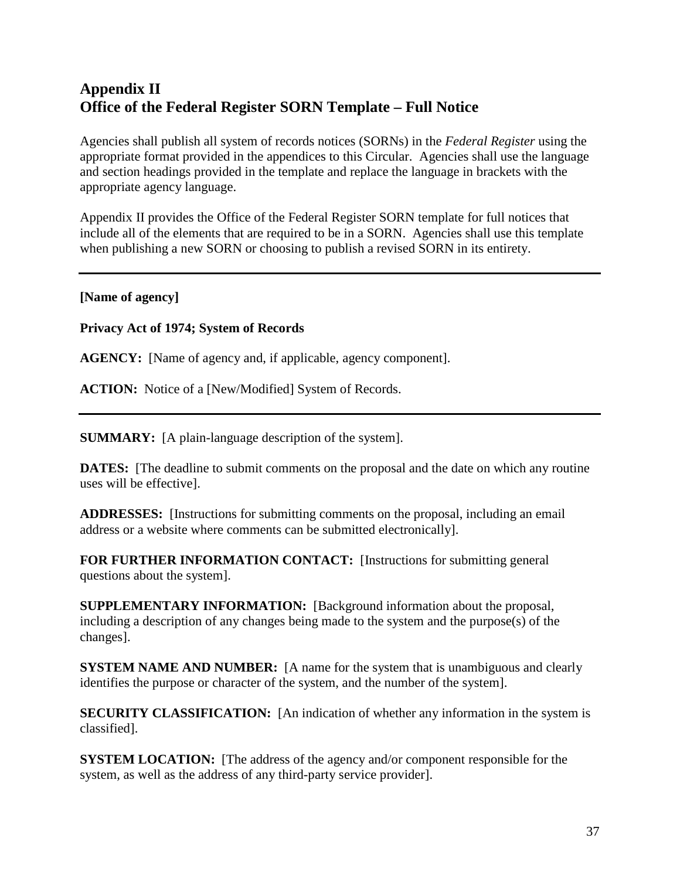# **Appendix II Office of the Federal Register SORN Template – Full Notice**

Agencies shall publish all system of records notices (SORNs) in the *Federal Register* using the appropriate format provided in the appendices to this Circular. Agencies shall use the language and section headings provided in the template and replace the language in brackets with the appropriate agency language.

Appendix II provides the Office of the Federal Register SORN template for full notices that include all of the elements that are required to be in a SORN. Agencies shall use this template when publishing a new SORN or choosing to publish a revised SORN in its entirety.

#### **[Name of agency]**

**Privacy Act of 1974; System of Records** 

**AGENCY:** [Name of agency and, if applicable, agency component].

ACTION: Notice of a [New/Modified] System of Records.

**SUMMARY:** [A plain-language description of the system].

**DATES:** The deadline to submit comments on the proposal and the date on which any routine uses will be effective].

**ADDRESSES:** [Instructions for submitting comments on the proposal, including an email address or a website where comments can be submitted electronically].

**FOR FURTHER INFORMATION CONTACT:** [Instructions for submitting general questions about the system].

**SUPPLEMENTARY INFORMATION:** [Background information about the proposal, including a description of any changes being made to the system and the purpose(s) of the changes].

**SYSTEM NAME AND NUMBER:** [A name for the system that is unambiguous and clearly identifies the purpose or character of the system, and the number of the system].

**SECURITY CLASSIFICATION:** [An indication of whether any information in the system is classified].

**SYSTEM LOCATION:** [The address of the agency and/or component responsible for the system, as well as the address of any third-party service provider].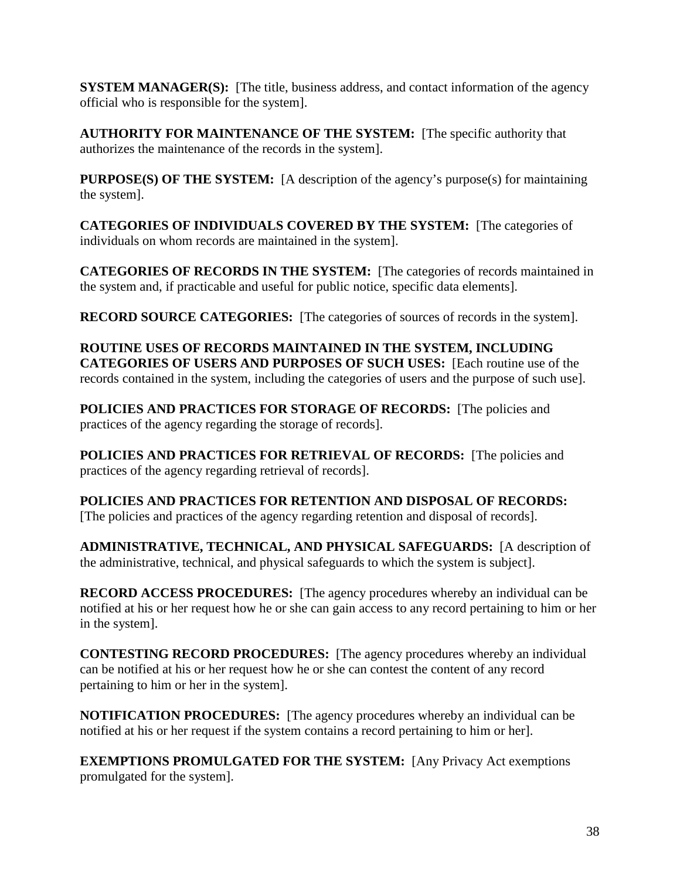**SYSTEM MANAGER(S):** [The title, business address, and contact information of the agency official who is responsible for the system].

**AUTHORITY FOR MAINTENANCE OF THE SYSTEM:** [The specific authority that authorizes the maintenance of the records in the system].

**PURPOSE(S) OF THE SYSTEM:** [A description of the agency's purpose(s) for maintaining the system].

**CATEGORIES OF INDIVIDUALS COVERED BY THE SYSTEM:** [The categories of individuals on whom records are maintained in the system].

**CATEGORIES OF RECORDS IN THE SYSTEM:** [The categories of records maintained in the system and, if practicable and useful for public notice, specific data elements].

**RECORD SOURCE CATEGORIES:** [The categories of sources of records in the system].

**ROUTINE USES OF RECORDS MAINTAINED IN THE SYSTEM, INCLUDING CATEGORIES OF USERS AND PURPOSES OF SUCH USES:** [Each routine use of the records contained in the system, including the categories of users and the purpose of such use].

**POLICIES AND PRACTICES FOR STORAGE OF RECORDS:** [The policies and practices of the agency regarding the storage of records].

**POLICIES AND PRACTICES FOR RETRIEVAL OF RECORDS:** [The policies and practices of the agency regarding retrieval of records].

**POLICIES AND PRACTICES FOR RETENTION AND DISPOSAL OF RECORDS:** [The policies and practices of the agency regarding retention and disposal of records].

**ADMINISTRATIVE, TECHNICAL, AND PHYSICAL SAFEGUARDS:** [A description of the administrative, technical, and physical safeguards to which the system is subject].

**RECORD ACCESS PROCEDURES:** [The agency procedures whereby an individual can be notified at his or her request how he or she can gain access to any record pertaining to him or her in the system].

**CONTESTING RECORD PROCEDURES:** [The agency procedures whereby an individual can be notified at his or her request how he or she can contest the content of any record pertaining to him or her in the system].

**NOTIFICATION PROCEDURES:** [The agency procedures whereby an individual can be notified at his or her request if the system contains a record pertaining to him or her].

**EXEMPTIONS PROMULGATED FOR THE SYSTEM:** [Any Privacy Act exemptions promulgated for the system].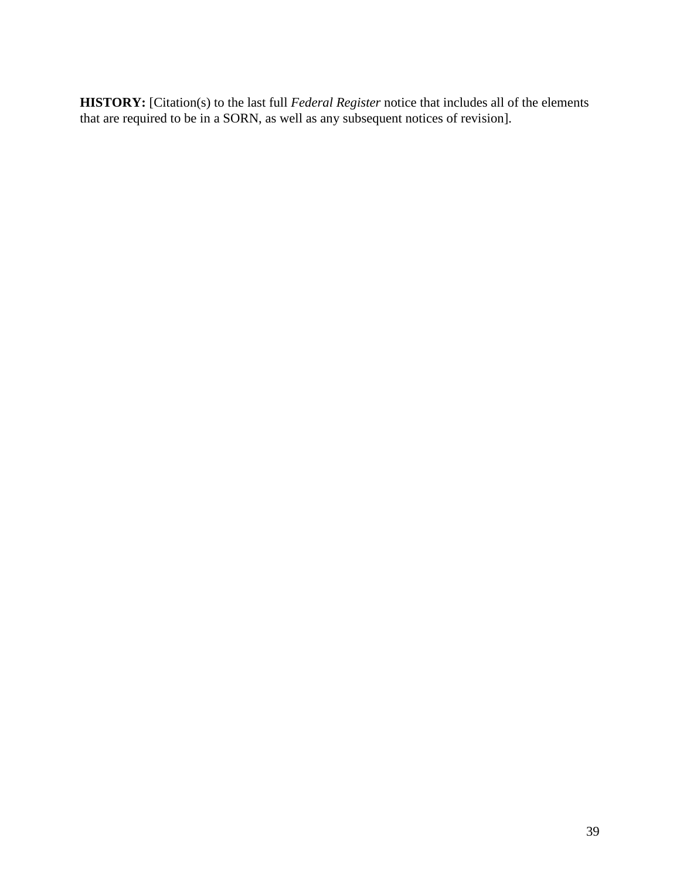**HISTORY:** [Citation(s) to the last full *Federal Register* notice that includes all of the elements that are required to be in a SORN, as well as any subsequent notices of revision].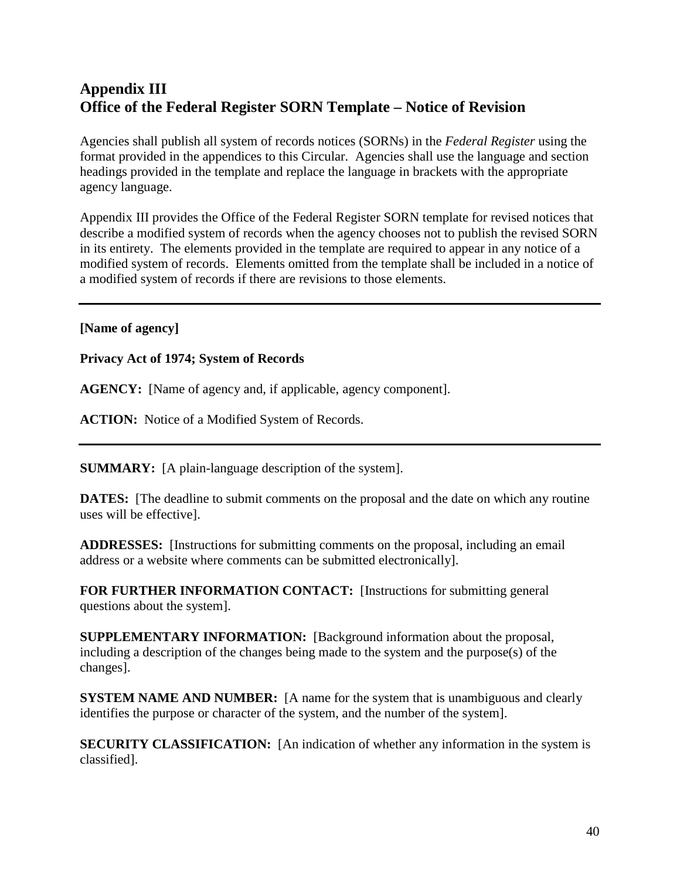# **Appendix III Office of the Federal Register SORN Template – Notice of Revision**

Agencies shall publish all system of records notices (SORNs) in the *Federal Register* using the format provided in the appendices to this Circular. Agencies shall use the language and section headings provided in the template and replace the language in brackets with the appropriate agency language.

Appendix III provides the Office of the Federal Register SORN template for revised notices that describe a modified system of records when the agency chooses not to publish the revised SORN in its entirety. The elements provided in the template are required to appear in any notice of a modified system of records. Elements omitted from the template shall be included in a notice of a modified system of records if there are revisions to those elements.

#### **[Name of agency]**

#### **Privacy Act of 1974; System of Records**

**AGENCY:** [Name of agency and, if applicable, agency component].

**ACTION:** Notice of a Modified System of Records.

**SUMMARY:** [A plain-language description of the system].

**DATES:** [The deadline to submit comments on the proposal and the date on which any routine uses will be effective].

**ADDRESSES:** [Instructions for submitting comments on the proposal, including an email address or a website where comments can be submitted electronically].

**FOR FURTHER INFORMATION CONTACT:** [Instructions for submitting general questions about the system].

**SUPPLEMENTARY INFORMATION:** [Background information about the proposal, including a description of the changes being made to the system and the purpose(s) of the changes].

**SYSTEM NAME AND NUMBER:** [A name for the system that is unambiguous and clearly identifies the purpose or character of the system, and the number of the system].

**SECURITY CLASSIFICATION:** [An indication of whether any information in the system is classified].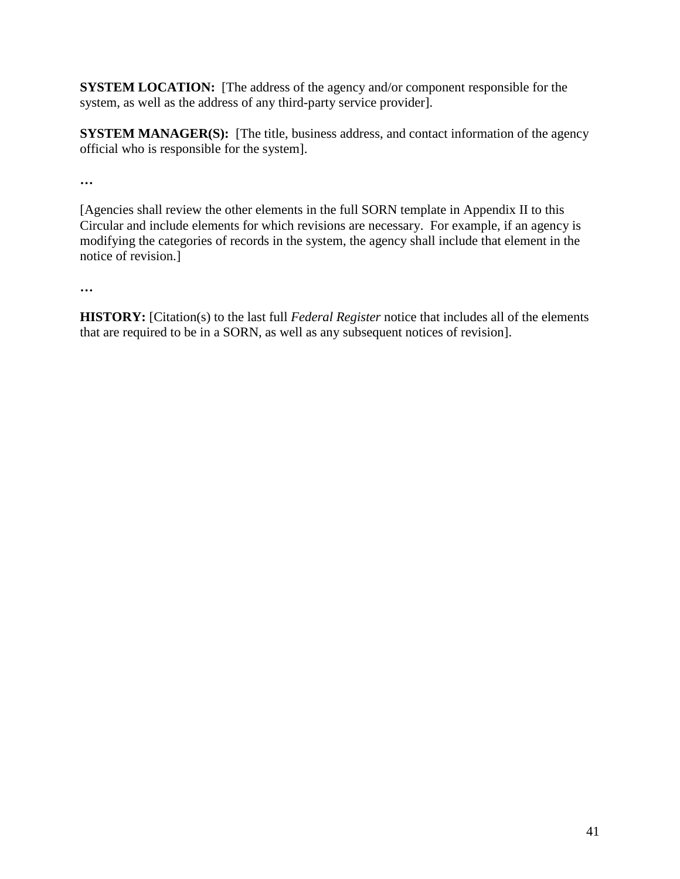**SYSTEM LOCATION:** [The address of the agency and/or component responsible for the system, as well as the address of any third-party service provider].

**SYSTEM MANAGER(S):** [The title, business address, and contact information of the agency official who is responsible for the system].

**…** 

[Agencies shall review the other elements in the full SORN template in Appendix II to this Circular and include elements for which revisions are necessary. For example, if an agency is modifying the categories of records in the system, the agency shall include that element in the notice of revision.]

**…** 

**HISTORY:** [Citation(s) to the last full *Federal Register* notice that includes all of the elements that are required to be in a SORN, as well as any subsequent notices of revision].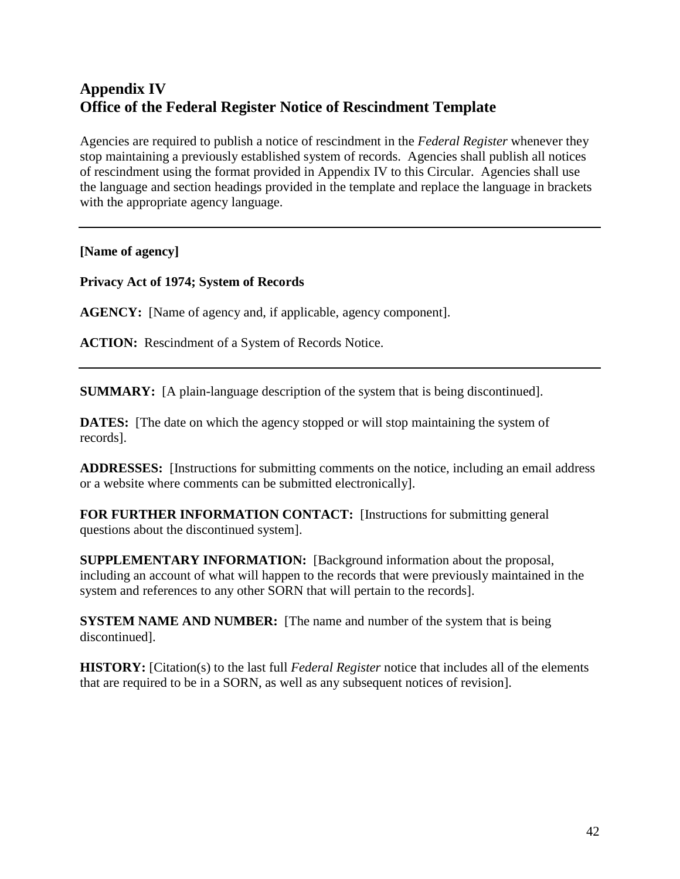# **Appendix IV Office of the Federal Register Notice of Rescindment Template**

Agencies are required to publish a notice of rescindment in the *Federal Register* whenever they stop maintaining a previously established system of records. Agencies shall publish all notices of rescindment using the format provided in Appendix IV to this Circular. Agencies shall use the language and section headings provided in the template and replace the language in brackets with the appropriate agency language.

### **[Name of agency]**

**Privacy Act of 1974; System of Records** 

**AGENCY:** [Name of agency and, if applicable, agency component].

**ACTION:** Rescindment of a System of Records Notice.

**SUMMARY:** [A plain-language description of the system that is being discontinued].

**DATES:** [The date on which the agency stopped or will stop maintaining the system of records].

**ADDRESSES:** [Instructions for submitting comments on the notice, including an email address or a website where comments can be submitted electronically].

**FOR FURTHER INFORMATION CONTACT:** [Instructions for submitting general questions about the discontinued system].

**SUPPLEMENTARY INFORMATION:** [Background information about the proposal, including an account of what will happen to the records that were previously maintained in the system and references to any other SORN that will pertain to the records].

**SYSTEM NAME AND NUMBER:** [The name and number of the system that is being] discontinued].

**HISTORY:** [Citation(s) to the last full *Federal Register* notice that includes all of the elements that are required to be in a SORN, as well as any subsequent notices of revision].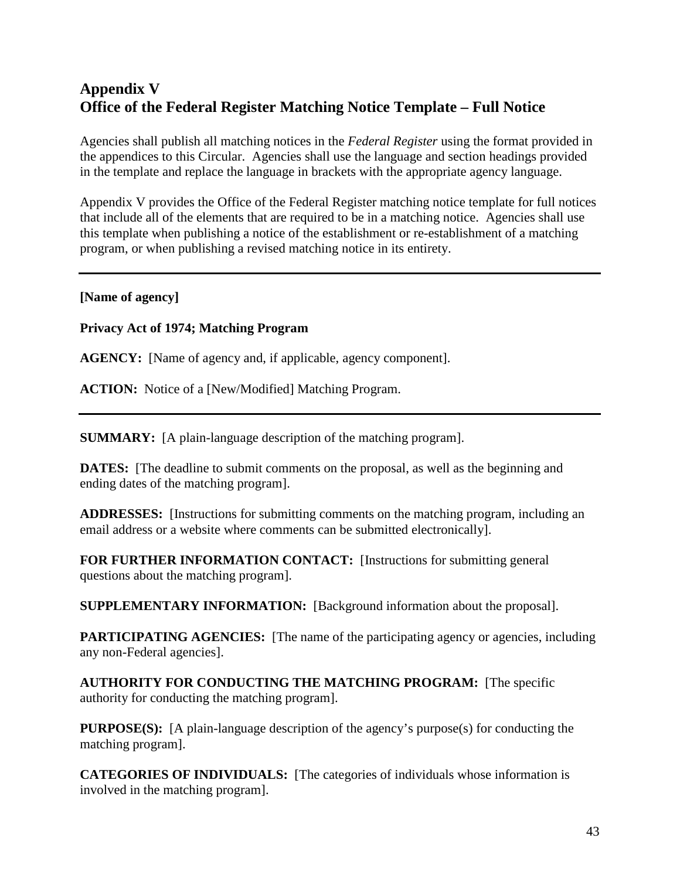# **Appendix V Office of the Federal Register Matching Notice Template – Full Notice**

Agencies shall publish all matching notices in the *Federal Register* using the format provided in the appendices to this Circular. Agencies shall use the language and section headings provided in the template and replace the language in brackets with the appropriate agency language.

Appendix V provides the Office of the Federal Register matching notice template for full notices that include all of the elements that are required to be in a matching notice. Agencies shall use this template when publishing a notice of the establishment or re-establishment of a matching program, or when publishing a revised matching notice in its entirety.

#### **[Name of agency]**

**Privacy Act of 1974; Matching Program** 

**AGENCY:** [Name of agency and, if applicable, agency component].

**ACTION:** Notice of a [New/Modified] Matching Program.

**SUMMARY:** [A plain-language description of the matching program].

**DATES:** [The deadline to submit comments on the proposal, as well as the beginning and ending dates of the matching program].

**ADDRESSES:** [Instructions for submitting comments on the matching program, including an email address or a website where comments can be submitted electronically].

**FOR FURTHER INFORMATION CONTACT:** [Instructions for submitting general questions about the matching program].

**SUPPLEMENTARY INFORMATION:** [Background information about the proposal].

**PARTICIPATING AGENCIES:** [The name of the participating agency or agencies, including any non-Federal agencies].

**AUTHORITY FOR CONDUCTING THE MATCHING PROGRAM:** [The specific authority for conducting the matching program].

**PURPOSE(S):** [A plain-language description of the agency's purpose(s) for conducting the matching program].

**CATEGORIES OF INDIVIDUALS:** [The categories of individuals whose information is involved in the matching program].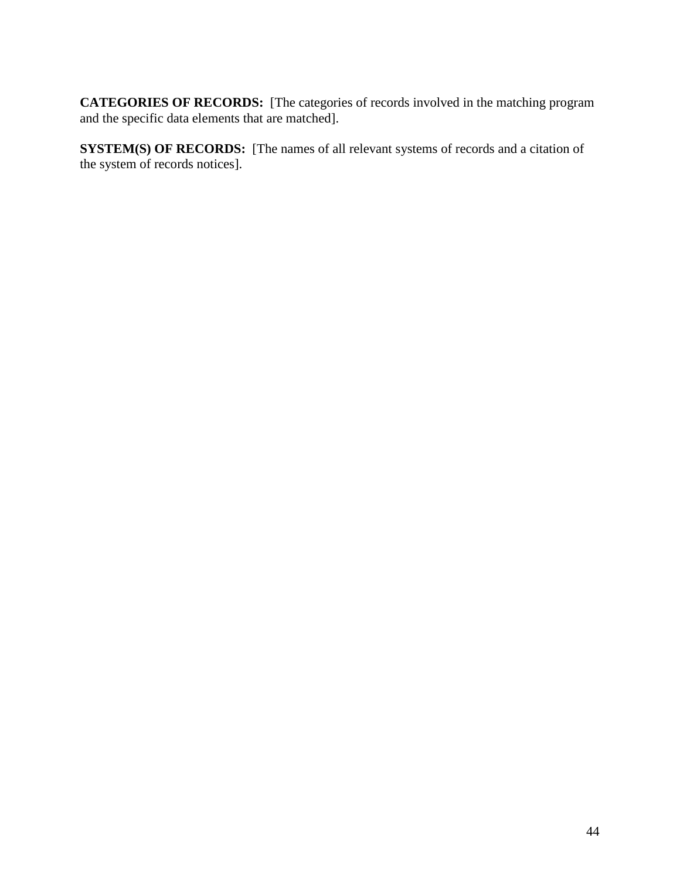**CATEGORIES OF RECORDS:** [The categories of records involved in the matching program and the specific data elements that are matched].

**SYSTEM(S) OF RECORDS:** [The names of all relevant systems of records and a citation of the system of records notices].